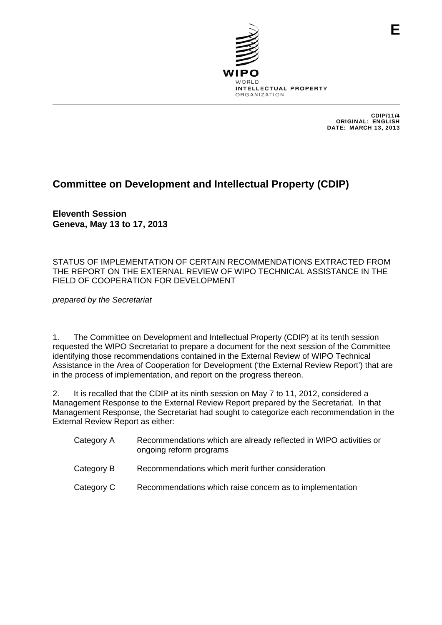

CDIP/11/4 ORIGINAL: ENGLISH DATE: MARCH 13, 2013

**E**

# **Committee on Development and Intellectual Property (CDIP)**

**Eleventh Session Geneva, May 13 to 17, 2013** 

STATUS OF IMPLEMENTATION OF CERTAIN RECOMMENDATIONS EXTRACTED FROM THE REPORT ON THE EXTERNAL REVIEW OF WIPO TECHNICAL ASSISTANCE IN THE FIELD OF COOPERATION FOR DEVELOPMENT

*prepared by the Secretariat* 

1. The Committee on Development and Intellectual Property (CDIP) at its tenth session requested the WIPO Secretariat to prepare a document for the next session of the Committee identifying those recommendations contained in the External Review of WIPO Technical Assistance in the Area of Cooperation for Development ('the External Review Report') that are in the process of implementation, and report on the progress thereon.

2. It is recalled that the CDIP at its ninth session on May 7 to 11, 2012, considered a Management Response to the External Review Report prepared by the Secretariat. In that Management Response, the Secretariat had sought to categorize each recommendation in the External Review Report as either:

| Category A | Recommendations which are already reflected in WIPO activities or<br>ongoing reform programs |
|------------|----------------------------------------------------------------------------------------------|
| Category B | Recommendations which merit further consideration                                            |
| Category C | Recommendations which raise concern as to implementation                                     |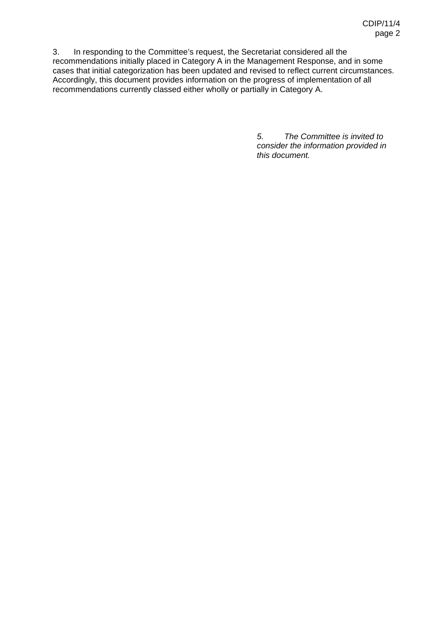3. In responding to the Committee's request, the Secretariat considered all the recommendations initially placed in Category A in the Management Response, and in some cases that initial categorization has been updated and revised to reflect current circumstances. Accordingly, this document provides information on the progress of implementation of all recommendations currently classed either wholly or partially in Category A.

> *5. The Committee is invited to consider the information provided in this document.*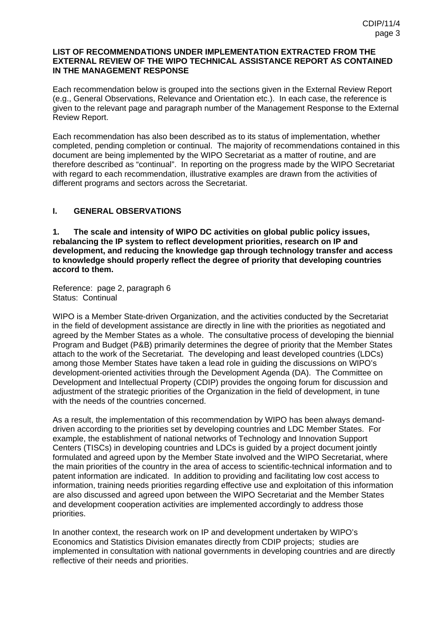#### **LIST OF RECOMMENDATIONS UNDER IMPLEMENTATION EXTRACTED FROM THE EXTERNAL REVIEW OF THE WIPO TECHNICAL ASSISTANCE REPORT AS CONTAINED IN THE MANAGEMENT RESPONSE**

Each recommendation below is grouped into the sections given in the External Review Report (e.g., General Observations, Relevance and Orientation etc.). In each case, the reference is given to the relevant page and paragraph number of the Management Response to the External Review Report.

Each recommendation has also been described as to its status of implementation, whether completed, pending completion or continual. The majority of recommendations contained in this document are being implemented by the WIPO Secretariat as a matter of routine, and are therefore described as "continual". In reporting on the progress made by the WIPO Secretariat with regard to each recommendation, illustrative examples are drawn from the activities of different programs and sectors across the Secretariat.

## **I. GENERAL OBSERVATIONS**

**1. The scale and intensity of WIPO DC activities on global public policy issues, rebalancing the IP system to reflect development priorities, research on IP and development, and reducing the knowledge gap through technology transfer and access to knowledge should properly reflect the degree of priority that developing countries accord to them.**

Reference: page 2, paragraph 6 Status: Continual

WIPO is a Member State-driven Organization, and the activities conducted by the Secretariat in the field of development assistance are directly in line with the priorities as negotiated and agreed by the Member States as a whole. The consultative process of developing the biennial Program and Budget (P&B) primarily determines the degree of priority that the Member States attach to the work of the Secretariat. The developing and least developed countries (LDCs) among those Member States have taken a lead role in guiding the discussions on WIPO's development-oriented activities through the Development Agenda (DA). The Committee on Development and Intellectual Property (CDIP) provides the ongoing forum for discussion and adjustment of the strategic priorities of the Organization in the field of development, in tune with the needs of the countries concerned.

As a result, the implementation of this recommendation by WIPO has been always demanddriven according to the priorities set by developing countries and LDC Member States. For example, the establishment of national networks of Technology and Innovation Support Centers (TISCs) in developing countries and LDCs is guided by a project document jointly formulated and agreed upon by the Member State involved and the WIPO Secretariat, where the main priorities of the country in the area of access to scientific-technical information and to patent information are indicated. In addition to providing and facilitating low cost access to information, training needs priorities regarding effective use and exploitation of this information are also discussed and agreed upon between the WIPO Secretariat and the Member States and development cooperation activities are implemented accordingly to address those priorities.

In another context, the research work on IP and development undertaken by WIPO's Economics and Statistics Division emanates directly from CDIP projects; studies are implemented in consultation with national governments in developing countries and are directly reflective of their needs and priorities.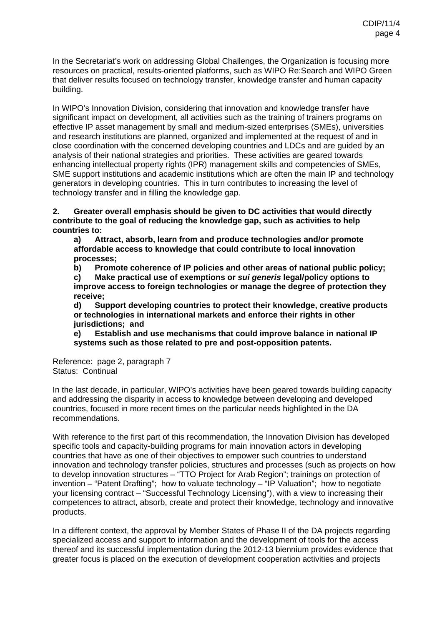In the Secretariat's work on addressing Global Challenges, the Organization is focusing more resources on practical, results-oriented platforms, such as WIPO Re:Search and WIPO Green that deliver results focused on technology transfer, knowledge transfer and human capacity building.

In WIPO's Innovation Division, considering that innovation and knowledge transfer have significant impact on development, all activities such as the training of trainers programs on effective IP asset management by small and medium-sized enterprises (SMEs), universities and research institutions are planned, organized and implemented at the request of and in close coordination with the concerned developing countries and LDCs and are guided by an analysis of their national strategies and priorities. These activities are geared towards enhancing intellectual property rights (IPR) management skills and competencies of SMEs, SME support institutions and academic institutions which are often the main IP and technology generators in developing countries. This in turn contributes to increasing the level of technology transfer and in filling the knowledge gap.

**2. Greater overall emphasis should be given to DC activities that would directly contribute to the goal of reducing the knowledge gap, such as activities to help countries to:** 

**a) Attract, absorb, learn from and produce technologies and/or promote affordable access to knowledge that could contribute to local innovation processes;** 

**b) Promote coherence of IP policies and other areas of national public policy;** 

**c) Make practical use of exemptions or** *sui generis* **legal/policy options to improve access to foreign technologies or manage the degree of protection they receive;** 

**d) Support developing countries to protect their knowledge, creative products or technologies in international markets and enforce their rights in other jurisdictions; and** 

**e) Establish and use mechanisms that could improve balance in national IP systems such as those related to pre and post-opposition patents.** 

Reference: page 2, paragraph 7 Status: Continual

In the last decade, in particular, WIPO's activities have been geared towards building capacity and addressing the disparity in access to knowledge between developing and developed countries, focused in more recent times on the particular needs highlighted in the DA recommendations.

With reference to the first part of this recommendation, the Innovation Division has developed specific tools and capacity-building programs for main innovation actors in developing countries that have as one of their objectives to empower such countries to understand innovation and technology transfer policies, structures and processes (such as projects on how to develop innovation structures – "TTO Project for Arab Region"; trainings on protection of invention – "Patent Drafting"; how to valuate technology – "IP Valuation"; how to negotiate your licensing contract – "Successful Technology Licensing"), with a view to increasing their competences to attract, absorb, create and protect their knowledge, technology and innovative products.

In a different context, the approval by Member States of Phase II of the DA projects regarding specialized access and support to information and the development of tools for the access thereof and its successful implementation during the 2012-13 biennium provides evidence that greater focus is placed on the execution of development cooperation activities and projects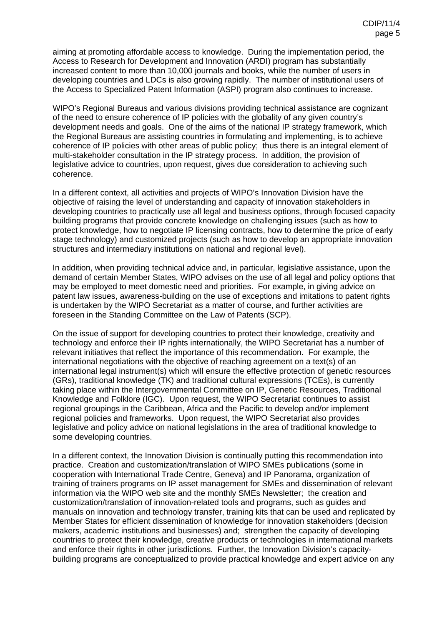aiming at promoting affordable access to knowledge. During the implementation period, the Access to Research for Development and Innovation (ARDI) program has substantially increased content to more than 10,000 journals and books, while the number of users in developing countries and LDCs is also growing rapidly. The number of institutional users of the Access to Specialized Patent Information (ASPI) program also continues to increase.

WIPO's Regional Bureaus and various divisions providing technical assistance are cognizant of the need to ensure coherence of IP policies with the globality of any given country's development needs and goals. One of the aims of the national IP strategy framework, which the Regional Bureaus are assisting countries in formulating and implementing, is to achieve coherence of IP policies with other areas of public policy; thus there is an integral element of multi-stakeholder consultation in the IP strategy process. In addition, the provision of legislative advice to countries, upon request, gives due consideration to achieving such coherence.

In a different context, all activities and projects of WIPO's Innovation Division have the objective of raising the level of understanding and capacity of innovation stakeholders in developing countries to practically use all legal and business options, through focused capacity building programs that provide concrete knowledge on challenging issues (such as how to protect knowledge, how to negotiate IP licensing contracts, how to determine the price of early stage technology) and customized projects (such as how to develop an appropriate innovation structures and intermediary institutions on national and regional level).

In addition, when providing technical advice and, in particular, legislative assistance, upon the demand of certain Member States, WIPO advises on the use of all legal and policy options that may be employed to meet domestic need and priorities. For example, in giving advice on patent law issues, awareness-building on the use of exceptions and imitations to patent rights is undertaken by the WIPO Secretariat as a matter of course, and further activities are foreseen in the Standing Committee on the Law of Patents (SCP).

On the issue of support for developing countries to protect their knowledge, creativity and technology and enforce their IP rights internationally, the WIPO Secretariat has a number of relevant initiatives that reflect the importance of this recommendation. For example, the international negotiations with the objective of reaching agreement on a text(s) of an international legal instrument(s) which will ensure the effective protection of genetic resources (GRs), traditional knowledge (TK) and traditional cultural expressions (TCEs), is currently taking place within the Intergovernmental Committee on IP, Genetic Resources, Traditional Knowledge and Folklore (IGC). Upon request, the WIPO Secretariat continues to assist regional groupings in the Caribbean, Africa and the Pacific to develop and/or implement regional policies and frameworks. Upon request, the WIPO Secretariat also provides legislative and policy advice on national legislations in the area of traditional knowledge to some developing countries.

In a different context, the Innovation Division is continually putting this recommendation into practice. Creation and customization/translation of WIPO SMEs publications (some in cooperation with International Trade Centre, Geneva) and IP Panorama, organization of training of trainers programs on IP asset management for SMEs and dissemination of relevant information via the WIPO web site and the monthly SMEs Newsletter; the creation and customization/translation of innovation-related tools and programs, such as guides and manuals on innovation and technology transfer, training kits that can be used and replicated by Member States for efficient dissemination of knowledge for innovation stakeholders (decision makers, academic institutions and businesses) and; strengthen the capacity of developing countries to protect their knowledge, creative products or technologies in international markets and enforce their rights in other jurisdictions. Further, the Innovation Division's capacitybuilding programs are conceptualized to provide practical knowledge and expert advice on any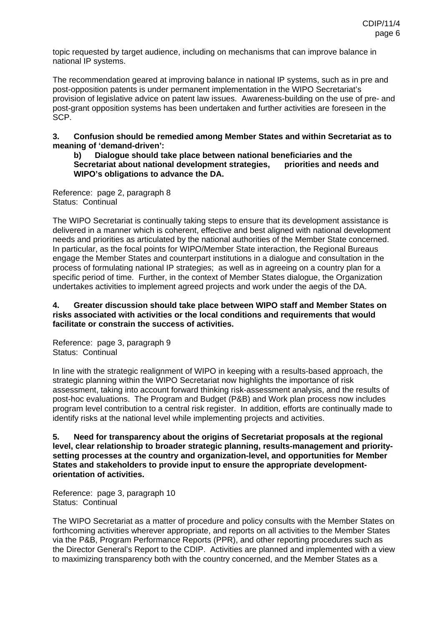topic requested by target audience, including on mechanisms that can improve balance in national IP systems.

The recommendation geared at improving balance in national IP systems, such as in pre and post-opposition patents is under permanent implementation in the WIPO Secretariat's provision of legislative advice on patent law issues. Awareness-building on the use of pre- and post-grant opposition systems has been undertaken and further activities are foreseen in the SCP.

**3. Confusion should be remedied among Member States and within Secretariat as to meaning of 'demand-driven':** 

**b) Dialogue should take place between national beneficiaries and the Secretariat about national development strategies, priorities and needs and WIPO's obligations to advance the DA.**

Reference: page 2, paragraph 8 Status: Continual

The WIPO Secretariat is continually taking steps to ensure that its development assistance is delivered in a manner which is coherent, effective and best aligned with national development needs and priorities as articulated by the national authorities of the Member State concerned. In particular, as the focal points for WIPO/Member State interaction, the Regional Bureaus engage the Member States and counterpart institutions in a dialogue and consultation in the process of formulating national IP strategies; as well as in agreeing on a country plan for a specific period of time. Further, in the context of Member States dialogue, the Organization undertakes activities to implement agreed projects and work under the aegis of the DA.

### **4. Greater discussion should take place between WIPO staff and Member States on risks associated with activities or the local conditions and requirements that would facilitate or constrain the success of activities.**

Reference: page 3, paragraph 9 Status: Continual

In line with the strategic realignment of WIPO in keeping with a results-based approach, the strategic planning within the WIPO Secretariat now highlights the importance of risk assessment, taking into account forward thinking risk-assessment analysis, and the results of post-hoc evaluations. The Program and Budget (P&B) and Work plan process now includes program level contribution to a central risk register. In addition, efforts are continually made to identify risks at the national level while implementing projects and activities.

**5. Need for transparency about the origins of Secretariat proposals at the regional level, clear relationship to broader strategic planning, results-management and prioritysetting processes at the country and organization-level, and opportunities for Member States and stakeholders to provide input to ensure the appropriate developmentorientation of activities.**

Reference: page 3, paragraph 10 Status: Continual

The WIPO Secretariat as a matter of procedure and policy consults with the Member States on forthcoming activities wherever appropriate, and reports on all activities to the Member States via the P&B, Program Performance Reports (PPR), and other reporting procedures such as the Director General's Report to the CDIP. Activities are planned and implemented with a view to maximizing transparency both with the country concerned, and the Member States as a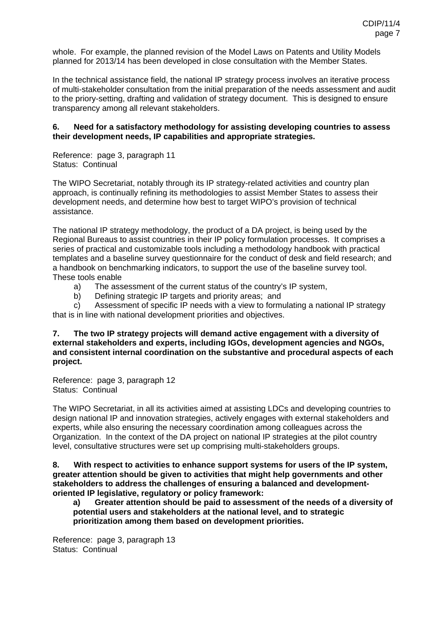whole. For example, the planned revision of the Model Laws on Patents and Utility Models planned for 2013/14 has been developed in close consultation with the Member States.

In the technical assistance field, the national IP strategy process involves an iterative process of multi-stakeholder consultation from the initial preparation of the needs assessment and audit to the priory-setting, drafting and validation of strategy document. This is designed to ensure transparency among all relevant stakeholders.

### **6. Need for a satisfactory methodology for assisting developing countries to assess their development needs, IP capabilities and appropriate strategies.**

Reference: page 3, paragraph 11 Status: Continual

The WIPO Secretariat, notably through its IP strategy-related activities and country plan approach, is continually refining its methodologies to assist Member States to assess their development needs, and determine how best to target WIPO's provision of technical assistance.

The national IP strategy methodology, the product of a DA project, is being used by the Regional Bureaus to assist countries in their IP policy formulation processes. It comprises a series of practical and customizable tools including a methodology handbook with practical templates and a baseline survey questionnaire for the conduct of desk and field research; and a handbook on benchmarking indicators, to support the use of the baseline survey tool. These tools enable

- a) The assessment of the current status of the country's IP system,
- b) Defining strategic IP targets and priority areas; and

 c) Assessment of specific IP needs with a view to formulating a national IP strategy that is in line with national development priorities and objectives.

**7. The two IP strategy projects will demand active engagement with a diversity of external stakeholders and experts, including IGOs, development agencies and NGOs, and consistent internal coordination on the substantive and procedural aspects of each project.**

Reference: page 3, paragraph 12 Status: Continual

The WIPO Secretariat, in all its activities aimed at assisting LDCs and developing countries to design national IP and innovation strategies, actively engages with external stakeholders and experts, while also ensuring the necessary coordination among colleagues across the Organization. In the context of the DA project on national IP strategies at the pilot country level, consultative structures were set up comprising multi-stakeholders groups.

**8. With respect to activities to enhance support systems for users of the IP system, greater attention should be given to activities that might help governments and other stakeholders to address the challenges of ensuring a balanced and developmentoriented IP legislative, regulatory or policy framework:** 

**a) Greater attention should be paid to assessment of the needs of a diversity of potential users and stakeholders at the national level, and to strategic prioritization among them based on development priorities.**

Reference: page 3, paragraph 13 Status: Continual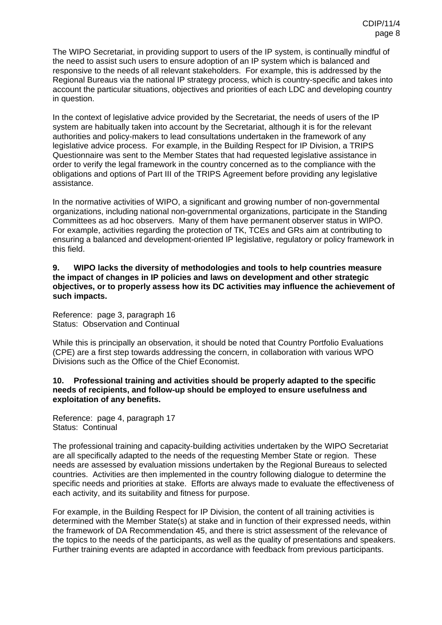The WIPO Secretariat, in providing support to users of the IP system, is continually mindful of the need to assist such users to ensure adoption of an IP system which is balanced and responsive to the needs of all relevant stakeholders. For example, this is addressed by the Regional Bureaus via the national IP strategy process, which is country-specific and takes into account the particular situations, objectives and priorities of each LDC and developing country in question.

In the context of legislative advice provided by the Secretariat, the needs of users of the IP system are habitually taken into account by the Secretariat, although it is for the relevant authorities and policy-makers to lead consultations undertaken in the framework of any legislative advice process. For example, in the Building Respect for IP Division, a TRIPS Questionnaire was sent to the Member States that had requested legislative assistance in order to verify the legal framework in the country concerned as to the compliance with the obligations and options of Part III of the TRIPS Agreement before providing any legislative assistance.

In the normative activities of WIPO, a significant and growing number of non-governmental organizations, including national non-governmental organizations, participate in the Standing Committees as ad hoc observers. Many of them have permanent observer status in WIPO. For example, activities regarding the protection of TK, TCEs and GRs aim at contributing to ensuring a balanced and development-oriented IP legislative, regulatory or policy framework in this field.

#### **9. WIPO lacks the diversity of methodologies and tools to help countries measure the impact of changes in IP policies and laws on development and other strategic objectives, or to properly assess how its DC activities may influence the achievement of such impacts.**

Reference: page 3, paragraph 16 Status: Observation and Continual

While this is principally an observation, it should be noted that Country Portfolio Evaluations (CPE) are a first step towards addressing the concern, in collaboration with various WPO Divisions such as the Office of the Chief Economist.

#### **10. Professional training and activities should be properly adapted to the specific needs of recipients, and follow-up should be employed to ensure usefulness and exploitation of any benefits.**

Reference: page 4, paragraph 17 Status: Continual

The professional training and capacity-building activities undertaken by the WIPO Secretariat are all specifically adapted to the needs of the requesting Member State or region. These needs are assessed by evaluation missions undertaken by the Regional Bureaus to selected countries. Activities are then implemented in the country following dialogue to determine the specific needs and priorities at stake. Efforts are always made to evaluate the effectiveness of each activity, and its suitability and fitness for purpose.

For example, in the Building Respect for IP Division, the content of all training activities is determined with the Member State(s) at stake and in function of their expressed needs, within the framework of DA Recommendation 45, and there is strict assessment of the relevance of the topics to the needs of the participants, as well as the quality of presentations and speakers. Further training events are adapted in accordance with feedback from previous participants.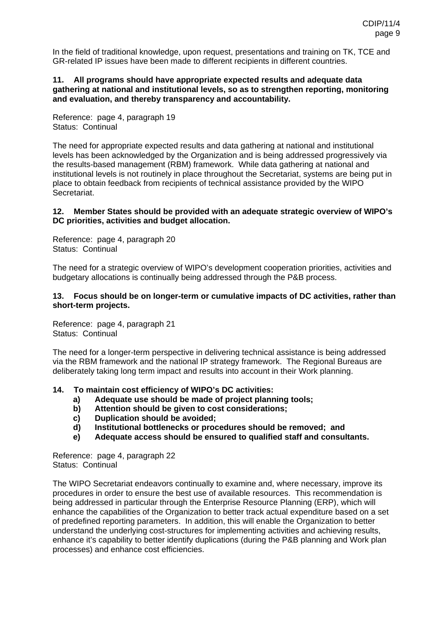In the field of traditional knowledge, upon request, presentations and training on TK, TCE and GR-related IP issues have been made to different recipients in different countries.

#### **11. All programs should have appropriate expected results and adequate data gathering at national and institutional levels, so as to strengthen reporting, monitoring and evaluation, and thereby transparency and accountability.**

Reference: page 4, paragraph 19 Status: Continual

The need for appropriate expected results and data gathering at national and institutional levels has been acknowledged by the Organization and is being addressed progressively via the results-based management (RBM) framework. While data gathering at national and institutional levels is not routinely in place throughout the Secretariat, systems are being put in place to obtain feedback from recipients of technical assistance provided by the WIPO Secretariat.

#### **12. Member States should be provided with an adequate strategic overview of WIPO's DC priorities, activities and budget allocation.**

Reference: page 4, paragraph 20 Status: Continual

The need for a strategic overview of WIPO's development cooperation priorities, activities and budgetary allocations is continually being addressed through the P&B process.

#### **13. Focus should be on longer-term or cumulative impacts of DC activities, rather than short-term projects.**

Reference: page 4, paragraph 21 Status: Continual

The need for a longer-term perspective in delivering technical assistance is being addressed via the RBM framework and the national IP strategy framework. The Regional Bureaus are deliberately taking long term impact and results into account in their Work planning.

### **14. To maintain cost efficiency of WIPO's DC activities:**

- **a) Adequate use should be made of project planning tools;**
- **b) Attention should be given to cost considerations;**
- **c) Duplication should be avoided;**
- **d) Institutional bottlenecks or procedures should be removed; and**
- **e) Adequate access should be ensured to qualified staff and consultants.**

Reference: page 4, paragraph 22 Status: Continual

The WIPO Secretariat endeavors continually to examine and, where necessary, improve its procedures in order to ensure the best use of available resources. This recommendation is being addressed in particular through the Enterprise Resource Planning (ERP), which will enhance the capabilities of the Organization to better track actual expenditure based on a set of predefined reporting parameters. In addition, this will enable the Organization to better understand the underlying cost-structures for implementing activities and achieving results, enhance it's capability to better identify duplications (during the P&B planning and Work plan processes) and enhance cost efficiencies.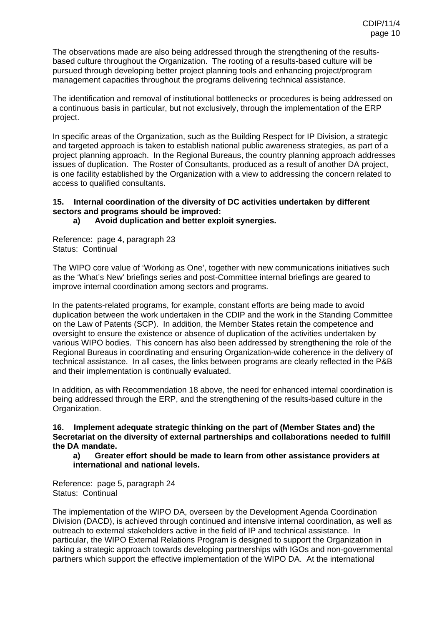The observations made are also being addressed through the strengthening of the resultsbased culture throughout the Organization. The rooting of a results-based culture will be pursued through developing better project planning tools and enhancing project/program management capacities throughout the programs delivering technical assistance.

The identification and removal of institutional bottlenecks or procedures is being addressed on a continuous basis in particular, but not exclusively, through the implementation of the ERP project.

In specific areas of the Organization, such as the Building Respect for IP Division, a strategic and targeted approach is taken to establish national public awareness strategies, as part of a project planning approach. In the Regional Bureaus, the country planning approach addresses issues of duplication. The Roster of Consultants, produced as a result of another DA project, is one facility established by the Organization with a view to addressing the concern related to access to qualified consultants.

### **15. Internal coordination of the diversity of DC activities undertaken by different sectors and programs should be improved:**

### **a) Avoid duplication and better exploit synergies.**

Reference: page 4, paragraph 23 Status: Continual

The WIPO core value of 'Working as One', together with new communications initiatives such as the 'What's New' briefings series and post-Committee internal briefings are geared to improve internal coordination among sectors and programs.

In the patents-related programs, for example, constant efforts are being made to avoid duplication between the work undertaken in the CDIP and the work in the Standing Committee on the Law of Patents (SCP). In addition, the Member States retain the competence and oversight to ensure the existence or absence of duplication of the activities undertaken by various WIPO bodies. This concern has also been addressed by strengthening the role of the Regional Bureaus in coordinating and ensuring Organization-wide coherence in the delivery of technical assistance. In all cases, the links between programs are clearly reflected in the P&B and their implementation is continually evaluated.

In addition, as with Recommendation 18 above, the need for enhanced internal coordination is being addressed through the ERP, and the strengthening of the results-based culture in the Organization.

#### **16. Implement adequate strategic thinking on the part of (Member States and) the Secretariat on the diversity of external partnerships and collaborations needed to fulfill the DA mandate.**

#### **a) Greater effort should be made to learn from other assistance providers at international and national levels.**

Reference: page 5, paragraph 24 Status: Continual

The implementation of the WIPO DA, overseen by the Development Agenda Coordination Division (DACD), is achieved through continued and intensive internal coordination, as well as outreach to external stakeholders active in the field of IP and technical assistance. In particular, the WIPO External Relations Program is designed to support the Organization in taking a strategic approach towards developing partnerships with IGOs and non-governmental partners which support the effective implementation of the WIPO DA. At the international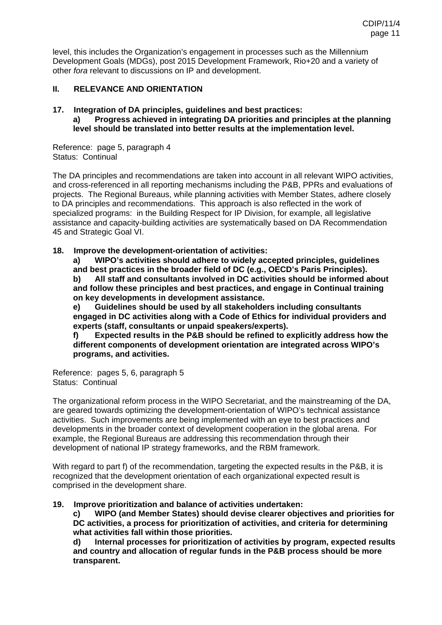level, this includes the Organization's engagement in processes such as the Millennium Development Goals (MDGs), post 2015 Development Framework, Rio+20 and a variety of other *fora* relevant to discussions on IP and development.

### **II. RELEVANCE AND ORIENTATION**

#### **17. Integration of DA principles, guidelines and best practices: a) Progress achieved in integrating DA priorities and principles at the planning level should be translated into better results at the implementation level.**

Reference: page 5, paragraph 4 Status: Continual

The DA principles and recommendations are taken into account in all relevant WIPO activities, and cross-referenced in all reporting mechanisms including the P&B, PPRs and evaluations of projects. The Regional Bureaus, while planning activities with Member States, adhere closely to DA principles and recommendations. This approach is also reflected in the work of specialized programs: in the Building Respect for IP Division, for example, all legislative assistance and capacity-building activities are systematically based on DA Recommendation 45 and Strategic Goal VI.

### **18. Improve the development-orientation of activities:**

**a) WIPO's activities should adhere to widely accepted principles, guidelines and best practices in the broader field of DC (e.g., OECD's Paris Principles).** 

**b) All staff and consultants involved in DC activities should be informed about and follow these principles and best practices, and engage in Continual training on key developments in development assistance.** 

**e) Guidelines should be used by all stakeholders including consultants engaged in DC activities along with a Code of Ethics for individual providers and experts (staff, consultants or unpaid speakers/experts).** 

**f) Expected results in the P&B should be refined to explicitly address how the different components of development orientation are integrated across WIPO's programs, and activities.** 

Reference: pages 5, 6, paragraph 5 Status: Continual

The organizational reform process in the WIPO Secretariat, and the mainstreaming of the DA, are geared towards optimizing the development-orientation of WIPO's technical assistance activities. Such improvements are being implemented with an eye to best practices and developments in the broader context of development cooperation in the global arena. For example, the Regional Bureaus are addressing this recommendation through their development of national IP strategy frameworks, and the RBM framework.

With regard to part f) of the recommendation, targeting the expected results in the P&B, it is recognized that the development orientation of each organizational expected result is comprised in the development share.

### **19. Improve prioritization and balance of activities undertaken:**

**c) WIPO (and Member States) should devise clearer objectives and priorities for DC activities, a process for prioritization of activities, and criteria for determining what activities fall within those priorities.** 

**d) Internal processes for prioritization of activities by program, expected results and country and allocation of regular funds in the P&B process should be more transparent.**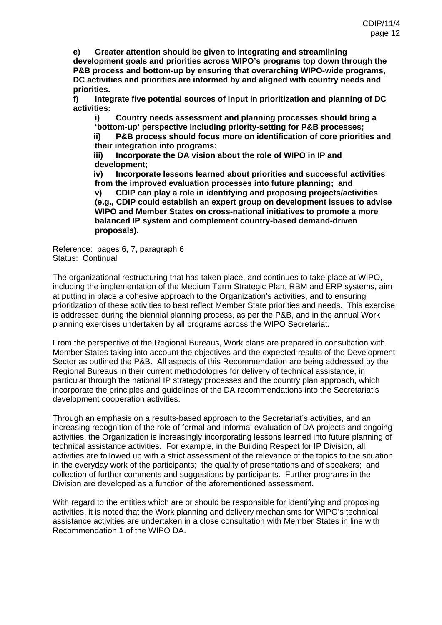**e) Greater attention should be given to integrating and streamlining development goals and priorities across WIPO's programs top down through the P&B process and bottom-up by ensuring that overarching WIPO-wide programs, DC activities and priorities are informed by and aligned with country needs and priorities.** 

**f) Integrate five potential sources of input in prioritization and planning of DC activities:** 

**i) Country needs assessment and planning processes should bring a 'bottom-up' perspective including priority-setting for P&B processes;** 

**ii) P&B process should focus more on identification of core priorities and their integration into programs:** 

**iii) Incorporate the DA vision about the role of WIPO in IP and development;** 

**iv) Incorporate lessons learned about priorities and successful activities from the improved evaluation processes into future planning; and** 

**v) CDIP can play a role in identifying and proposing projects/activities (e.g., CDIP could establish an expert group on development issues to advise WIPO and Member States on cross-national initiatives to promote a more balanced IP system and complement country-based demand-driven proposals).** 

Reference: pages 6, 7, paragraph 6 Status: Continual

The organizational restructuring that has taken place, and continues to take place at WIPO, including the implementation of the Medium Term Strategic Plan, RBM and ERP systems, aim at putting in place a cohesive approach to the Organization's activities, and to ensuring prioritization of these activities to best reflect Member State priorities and needs. This exercise is addressed during the biennial planning process, as per the P&B, and in the annual Work planning exercises undertaken by all programs across the WIPO Secretariat.

From the perspective of the Regional Bureaus, Work plans are prepared in consultation with Member States taking into account the objectives and the expected results of the Development Sector as outlined the P&B. All aspects of this Recommendation are being addressed by the Regional Bureaus in their current methodologies for delivery of technical assistance, in particular through the national IP strategy processes and the country plan approach, which incorporate the principles and guidelines of the DA recommendations into the Secretariat's development cooperation activities.

Through an emphasis on a results-based approach to the Secretariat's activities, and an increasing recognition of the role of formal and informal evaluation of DA projects and ongoing activities, the Organization is increasingly incorporating lessons learned into future planning of technical assistance activities. For example, in the Building Respect for IP Division, all activities are followed up with a strict assessment of the relevance of the topics to the situation in the everyday work of the participants; the quality of presentations and of speakers; and collection of further comments and suggestions by participants. Further programs in the Division are developed as a function of the aforementioned assessment.

With regard to the entities which are or should be responsible for identifying and proposing activities, it is noted that the Work planning and delivery mechanisms for WIPO's technical assistance activities are undertaken in a close consultation with Member States in line with Recommendation 1 of the WIPO DA.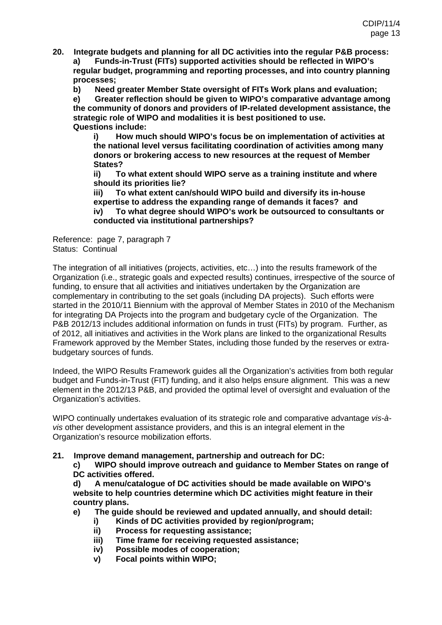**20. Integrate budgets and planning for all DC activities into the regular P&B process: a) Funds-in-Trust (FITs) supported activities should be reflected in WIPO's** 

**regular budget, programming and reporting processes, and into country planning processes;** 

**b) Need greater Member State oversight of FITs Work plans and evaluation;** 

**e) Greater reflection should be given to WIPO's comparative advantage among the community of donors and providers of IP-related development assistance, the strategic role of WIPO and modalities it is best positioned to use. Questions include:** 

**i) How much should WIPO's focus be on implementation of activities at the national level versus facilitating coordination of activities among many donors or brokering access to new resources at the request of Member States?** 

**ii) To what extent should WIPO serve as a training institute and where should its priorities lie?** 

**iii) To what extent can/should WIPO build and diversify its in-house expertise to address the expanding range of demands it faces? and iv) To what degree should WIPO's work be outsourced to consultants or** 

**conducted via institutional partnerships?** 

Reference: page 7, paragraph 7 Status: Continual

The integration of all initiatives (projects, activities, etc…) into the results framework of the Organization (i.e., strategic goals and expected results) continues, irrespective of the source of funding, to ensure that all activities and initiatives undertaken by the Organization are complementary in contributing to the set goals (including DA projects). Such efforts were started in the 2010/11 Biennium with the approval of Member States in 2010 of the Mechanism for integrating DA Projects into the program and budgetary cycle of the Organization. The P&B 2012/13 includes additional information on funds in trust (FITs) by program. Further, as of 2012, all initiatives and activities in the Work plans are linked to the organizational Results Framework approved by the Member States, including those funded by the reserves or extrabudgetary sources of funds.

Indeed, the WIPO Results Framework guides all the Organization's activities from both regular budget and Funds-in-Trust (FIT) funding, and it also helps ensure alignment. This was a new element in the 2012/13 P&B, and provided the optimal level of oversight and evaluation of the Organization's activities.

WIPO continually undertakes evaluation of its strategic role and comparative advantage *vis-àvis* other development assistance providers, and this is an integral element in the Organization's resource mobilization efforts.

### **21. Improve demand management, partnership and outreach for DC:**

**c) WIPO should improve outreach and guidance to Member States on range of DC activities offered.** 

**d) A menu/catalogue of DC activities should be made available on WIPO's website to help countries determine which DC activities might feature in their country plans.** 

- **e) The guide should be reviewed and updated annually, and should detail:** 
	- **i) Kinds of DC activities provided by region/program;**
	- **ii) Process for requesting assistance;**
	- **iii) Time frame for receiving requested assistance;**
	- **iv) Possible modes of cooperation;**
	- **v) Focal points within WIPO;**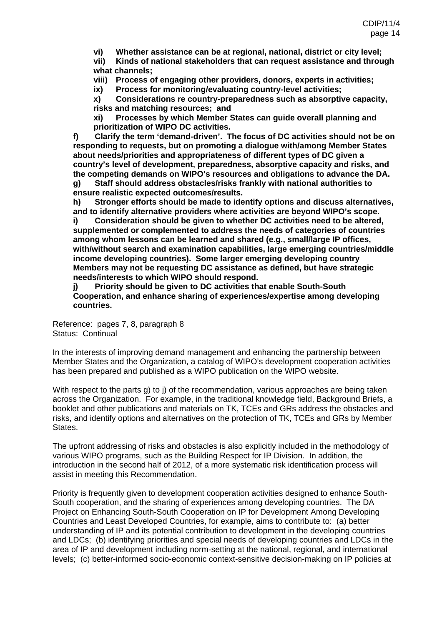**vi) Whether assistance can be at regional, national, district or city level;** 

**vii) Kinds of national stakeholders that can request assistance and through what channels;** 

**viii) Process of engaging other providers, donors, experts in activities;** 

**ix) Process for monitoring/evaluating country-level activities;** 

**x) Considerations re country-preparedness such as absorptive capacity, risks and matching resources; and** 

**xi) Processes by which Member States can guide overall planning and prioritization of WIPO DC activities.** 

**f) Clarify the term 'demand-driven'. The focus of DC activities should not be on responding to requests, but on promoting a dialogue with/among Member States about needs/priorities and appropriateness of different types of DC given a country's level of development, preparedness, absorptive capacity and risks, and the competing demands on WIPO's resources and obligations to advance the DA. g) Staff should address obstacles/risks frankly with national authorities to** 

**ensure realistic expected outcomes/results.** 

**h) Stronger efforts should be made to identify options and discuss alternatives, and to identify alternative providers where activities are beyond WIPO's scope.** 

**i) Consideration should be given to whether DC activities need to be altered, supplemented or complemented to address the needs of categories of countries among whom lessons can be learned and shared (e.g., small/large IP offices, with/without search and examination capabilities, large emerging countries/middle income developing countries). Some larger emerging developing country Members may not be requesting DC assistance as defined, but have strategic needs/interests to which WIPO should respond.** 

**j) Priority should be given to DC activities that enable South-South Cooperation, and enhance sharing of experiences/expertise among developing countries.** 

Reference: pages 7, 8, paragraph 8 Status: Continual

In the interests of improving demand management and enhancing the partnership between Member States and the Organization, a catalog of WIPO's development cooperation activities has been prepared and published as a WIPO publication on the WIPO website.

With respect to the parts g) to j) of the recommendation, various approaches are being taken across the Organization. For example, in the traditional knowledge field, Background Briefs, a booklet and other publications and materials on TK, TCEs and GRs address the obstacles and risks, and identify options and alternatives on the protection of TK, TCEs and GRs by Member States.

The upfront addressing of risks and obstacles is also explicitly included in the methodology of various WIPO programs, such as the Building Respect for IP Division. In addition, the introduction in the second half of 2012, of a more systematic risk identification process will assist in meeting this Recommendation.

Priority is frequently given to development cooperation activities designed to enhance South-South cooperation, and the sharing of experiences among developing countries. The DA Project on Enhancing South-South Cooperation on IP for Development Among Developing Countries and Least Developed Countries, for example, aims to contribute to: (a) better understanding of IP and its potential contribution to development in the developing countries and LDCs; (b) identifying priorities and special needs of developing countries and LDCs in the area of IP and development including norm-setting at the national, regional, and international levels; (c) better-informed socio-economic context-sensitive decision-making on IP policies at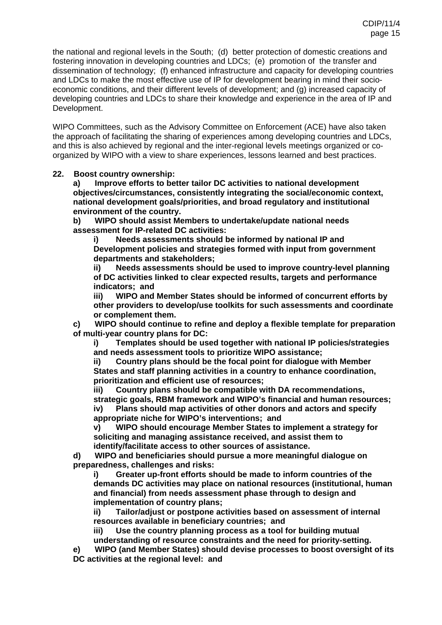the national and regional levels in the South; (d) better protection of domestic creations and fostering innovation in developing countries and LDCs; (e) promotion of the transfer and dissemination of technology; (f) enhanced infrastructure and capacity for developing countries and LDCs to make the most effective use of IP for development bearing in mind their socioeconomic conditions, and their different levels of development; and (g) increased capacity of developing countries and LDCs to share their knowledge and experience in the area of IP and Development.

WIPO Committees, such as the Advisory Committee on Enforcement (ACE) have also taken the approach of facilitating the sharing of experiences among developing countries and LDCs, and this is also achieved by regional and the inter-regional levels meetings organized or coorganized by WIPO with a view to share experiences, lessons learned and best practices.

### **22. Boost country ownership:**

**a) Improve efforts to better tailor DC activities to national development objectives/circumstances, consistently integrating the social/economic context, national development goals/priorities, and broad regulatory and institutional environment of the country.** 

**b) WIPO should assist Members to undertake/update national needs assessment for IP-related DC activities:** 

**i) Needs assessments should be informed by national IP and Development policies and strategies formed with input from government departments and stakeholders;** 

**ii) Needs assessments should be used to improve country-level planning of DC activities linked to clear expected results, targets and performance indicators; and** 

**iii) WIPO and Member States should be informed of concurrent efforts by other providers to develop/use toolkits for such assessments and coordinate or complement them.** 

**c) WIPO should continue to refine and deploy a flexible template for preparation of multi-year country plans for DC:** 

**i) Templates should be used together with national IP policies/strategies and needs assessment tools to prioritize WIPO assistance;** 

**ii) Country plans should be the focal point for dialogue with Member States and staff planning activities in a country to enhance coordination, prioritization and efficient use of resources;** 

**iii) Country plans should be compatible with DA recommendations, strategic goals, RBM framework and WIPO's financial and human resources; iv) Plans should map activities of other donors and actors and specify** 

**appropriate niche for WIPO's interventions; and** 

**v) WIPO should encourage Member States to implement a strategy for soliciting and managing assistance received, and assist them to identify/facilitate access to other sources of assistance.** 

**d) WIPO and beneficiaries should pursue a more meaningful dialogue on preparedness, challenges and risks:** 

**i) Greater up-front efforts should be made to inform countries of the demands DC activities may place on national resources (institutional, human and financial) from needs assessment phase through to design and implementation of country plans;** 

**ii) Tailor/adjust or postpone activities based on assessment of internal resources available in beneficiary countries; and** 

**iii) Use the country planning process as a tool for building mutual understanding of resource constraints and the need for priority-setting.** 

**e) WIPO (and Member States) should devise processes to boost oversight of its DC activities at the regional level: and**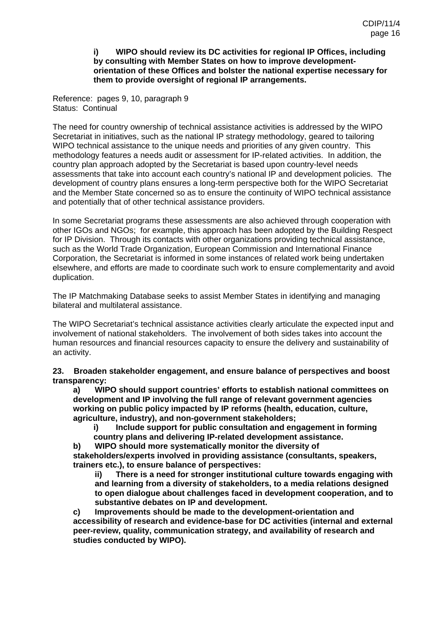#### **i) WIPO should review its DC activities for regional IP Offices, including by consulting with Member States on how to improve developmentorientation of these Offices and bolster the national expertise necessary for them to provide oversight of regional IP arrangements.**

Reference: pages 9, 10, paragraph 9 Status: Continual

The need for country ownership of technical assistance activities is addressed by the WIPO Secretariat in initiatives, such as the national IP strategy methodology, geared to tailoring WIPO technical assistance to the unique needs and priorities of any given country. This methodology features a needs audit or assessment for IP-related activities. In addition, the country plan approach adopted by the Secretariat is based upon country-level needs assessments that take into account each country's national IP and development policies. The development of country plans ensures a long-term perspective both for the WIPO Secretariat and the Member State concerned so as to ensure the continuity of WIPO technical assistance and potentially that of other technical assistance providers.

In some Secretariat programs these assessments are also achieved through cooperation with other IGOs and NGOs; for example, this approach has been adopted by the Building Respect for IP Division. Through its contacts with other organizations providing technical assistance, such as the World Trade Organization, European Commission and International Finance Corporation, the Secretariat is informed in some instances of related work being undertaken elsewhere, and efforts are made to coordinate such work to ensure complementarity and avoid duplication.

The IP Matchmaking Database seeks to assist Member States in identifying and managing bilateral and multilateral assistance.

The WIPO Secretariat's technical assistance activities clearly articulate the expected input and involvement of national stakeholders. The involvement of both sides takes into account the human resources and financial resources capacity to ensure the delivery and sustainability of an activity.

**23. Broaden stakeholder engagement, and ensure balance of perspectives and boost transparency:** 

**a) WIPO should support countries' efforts to establish national committees on development and IP involving the full range of relevant government agencies working on public policy impacted by IP reforms (health, education, culture, agriculture, industry), and non-government stakeholders;** 

**i) Include support for public consultation and engagement in forming country plans and delivering IP-related development assistance.** 

**b) WIPO should more systematically monitor the diversity of** 

**stakeholders/experts involved in providing assistance (consultants, speakers, trainers etc.), to ensure balance of perspectives:** 

**ii) There is a need for stronger institutional culture towards engaging with and learning from a diversity of stakeholders, to a media relations designed to open dialogue about challenges faced in development cooperation, and to substantive debates on IP and development.** 

**c) Improvements should be made to the development-orientation and accessibility of research and evidence-base for DC activities (internal and external peer-review, quality, communication strategy, and availability of research and studies conducted by WIPO).**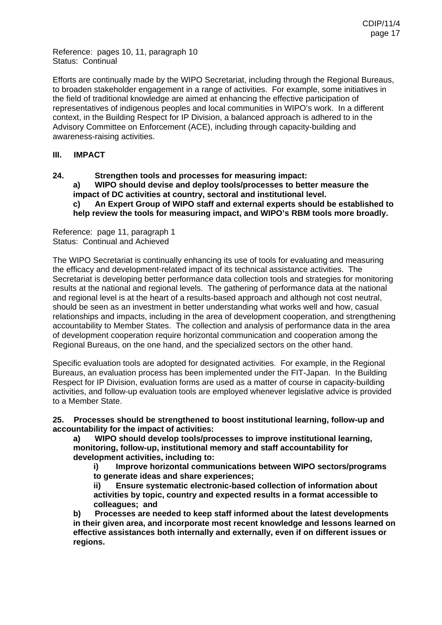Reference: pages 10, 11, paragraph 10 Status: Continual

Efforts are continually made by the WIPO Secretariat, including through the Regional Bureaus, to broaden stakeholder engagement in a range of activities. For example, some initiatives in the field of traditional knowledge are aimed at enhancing the effective participation of representatives of indigenous peoples and local communities in WIPO's work. In a different context, in the Building Respect for IP Division, a balanced approach is adhered to in the Advisory Committee on Enforcement (ACE), including through capacity-building and awareness-raising activities.

### **III. IMPACT**

### **24. Strengthen tools and processes for measuring impact: a) WIPO should devise and deploy tools/processes to better measure the impact of DC activities at country, sectoral and institutional level. c) An Expert Group of WIPO staff and external experts should be established to help review the tools for measuring impact, and WIPO's RBM tools more broadly.**

Reference: page 11, paragraph 1 Status: Continual and Achieved

The WIPO Secretariat is continually enhancing its use of tools for evaluating and measuring the efficacy and development-related impact of its technical assistance activities. The Secretariat is developing better performance data collection tools and strategies for monitoring results at the national and regional levels. The gathering of performance data at the national and regional level is at the heart of a results-based approach and although not cost neutral, should be seen as an investment in better understanding what works well and how, casual relationships and impacts, including in the area of development cooperation, and strengthening accountability to Member States. The collection and analysis of performance data in the area of development cooperation require horizontal communication and cooperation among the Regional Bureaus, on the one hand, and the specialized sectors on the other hand.

Specific evaluation tools are adopted for designated activities. For example, in the Regional Bureaus, an evaluation process has been implemented under the FIT-Japan. In the Building Respect for IP Division, evaluation forms are used as a matter of course in capacity-building activities, and follow-up evaluation tools are employed whenever legislative advice is provided to a Member State.

**25. Processes should be strengthened to boost institutional learning, follow-up and accountability for the impact of activities:** 

**a) WIPO should develop tools/processes to improve institutional learning, monitoring, follow-up, institutional memory and staff accountability for development activities, including to:** 

**i) Improve horizontal communications between WIPO sectors/programs to generate ideas and share experiences;** 

**ii) Ensure systematic electronic-based collection of information about activities by topic, country and expected results in a format accessible to colleagues; and** 

**b) Processes are needed to keep staff informed about the latest developments in their given area, and incorporate most recent knowledge and lessons learned on effective assistances both internally and externally, even if on different issues or regions.**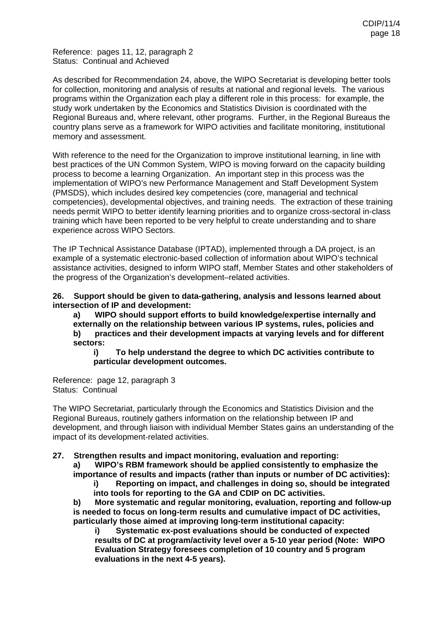Reference: pages 11, 12, paragraph 2 Status: Continual and Achieved

As described for Recommendation 24, above, the WIPO Secretariat is developing better tools for collection, monitoring and analysis of results at national and regional levels. The various programs within the Organization each play a different role in this process: for example, the study work undertaken by the Economics and Statistics Division is coordinated with the Regional Bureaus and, where relevant, other programs. Further, in the Regional Bureaus the country plans serve as a framework for WIPO activities and facilitate monitoring, institutional memory and assessment.

With reference to the need for the Organization to improve institutional learning, in line with best practices of the UN Common System, WIPO is moving forward on the capacity building process to become a learning Organization. An important step in this process was the implementation of WIPO's new Performance Management and Staff Development System (PMSDS), which includes desired key competencies (core, managerial and technical competencies), developmental objectives, and training needs. The extraction of these training needs permit WIPO to better identify learning priorities and to organize cross-sectoral in-class training which have been reported to be very helpful to create understanding and to share experience across WIPO Sectors.

The IP Technical Assistance Database (IPTAD), implemented through a DA project, is an example of a systematic electronic-based collection of information about WIPO's technical assistance activities, designed to inform WIPO staff, Member States and other stakeholders of the progress of the Organization's development–related activities.

**26. Support should be given to data-gathering, analysis and lessons learned about intersection of IP and development:** 

**a) WIPO should support efforts to build knowledge/expertise internally and externally on the relationship between various IP systems, rules, policies and** 

**b) practices and their development impacts at varying levels and for different sectors:** 

**i) To help understand the degree to which DC activities contribute to particular development outcomes.** 

Reference: page 12, paragraph 3 Status: Continual

The WIPO Secretariat, particularly through the Economics and Statistics Division and the Regional Bureaus, routinely gathers information on the relationship between IP and development, and through liaison with individual Member States gains an understanding of the impact of its development-related activities.

**27. Strengthen results and impact monitoring, evaluation and reporting:** 

**a) WIPO's RBM framework should be applied consistently to emphasize the importance of results and impacts (rather than inputs or number of DC activities):** 

**i) Reporting on impact, and challenges in doing so, should be integrated into tools for reporting to the GA and CDIP on DC activities.** 

**b) More systematic and regular monitoring, evaluation, reporting and follow-up is needed to focus on long-term results and cumulative impact of DC activities, particularly those aimed at improving long-term institutional capacity:** 

**i) Systematic ex-post evaluations should be conducted of expected results of DC at program/activity level over a 5-10 year period (Note: WIPO Evaluation Strategy foresees completion of 10 country and 5 program evaluations in the next 4-5 years).**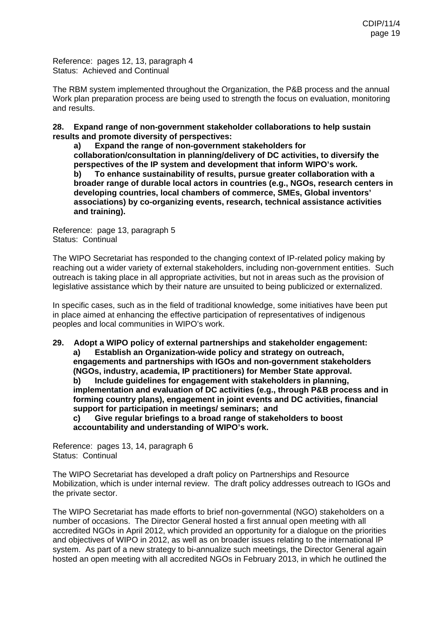Reference: pages 12, 13, paragraph 4 Status: Achieved and Continual

The RBM system implemented throughout the Organization, the P&B process and the annual Work plan preparation process are being used to strength the focus on evaluation, monitoring and results.

**28. Expand range of non-government stakeholder collaborations to help sustain results and promote diversity of perspectives:** 

**a) Expand the range of non-government stakeholders for collaboration/consultation in planning/delivery of DC activities, to diversify the perspectives of the IP system and development that inform WIPO's work. b) To enhance sustainability of results, pursue greater collaboration with a broader range of durable local actors in countries (e.g., NGOs, research centers in developing countries, local chambers of commerce, SMEs, Global inventors' associations) by co-organizing events, research, technical assistance activities and training).** 

Reference: page 13, paragraph 5 Status: Continual

The WIPO Secretariat has responded to the changing context of IP-related policy making by reaching out a wider variety of external stakeholders, including non-government entities. Such outreach is taking place in all appropriate activities, but not in areas such as the provision of legislative assistance which by their nature are unsuited to being publicized or externalized.

In specific cases, such as in the field of traditional knowledge, some initiatives have been put in place aimed at enhancing the effective participation of representatives of indigenous peoples and local communities in WIPO's work.

**29. Adopt a WIPO policy of external partnerships and stakeholder engagement: a) Establish an Organization-wide policy and strategy on outreach, engagements and partnerships with IGOs and non-government stakeholders (NGOs, industry, academia, IP practitioners) for Member State approval. b) Include guidelines for engagement with stakeholders in planning, implementation and evaluation of DC activities (e.g., through P&B process and in forming country plans), engagement in joint events and DC activities, financial support for participation in meetings/ seminars; and c) Give regular briefings to a broad range of stakeholders to boost accountability and understanding of WIPO's work.** 

Reference: pages 13, 14, paragraph 6 Status: Continual

The WIPO Secretariat has developed a draft policy on Partnerships and Resource Mobilization, which is under internal review. The draft policy addresses outreach to IGOs and the private sector.

The WIPO Secretariat has made efforts to brief non-governmental (NGO) stakeholders on a number of occasions. The Director General hosted a first annual open meeting with all accredited NGOs in April 2012, which provided an opportunity for a dialogue on the priorities and objectives of WIPO in 2012, as well as on broader issues relating to the international IP system. As part of a new strategy to bi-annualize such meetings, the Director General again hosted an open meeting with all accredited NGOs in February 2013, in which he outlined the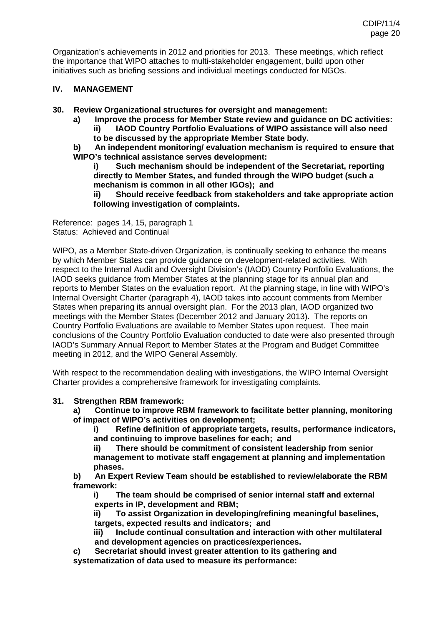Organization's achievements in 2012 and priorities for 2013. These meetings, which reflect the importance that WIPO attaches to multi-stakeholder engagement, build upon other initiatives such as briefing sessions and individual meetings conducted for NGOs.

### **IV. MANAGEMENT**

- **30. Review Organizational structures for oversight and management:** 
	- **a) Improve the process for Member State review and guidance on DC activities: ii) IAOD Country Portfolio Evaluations of WIPO assistance will also need to be discussed by the appropriate Member State body.**
	- **b) An independent monitoring/ evaluation mechanism is required to ensure that WIPO's technical assistance serves development:**

**i) Such mechanism should be independent of the Secretariat, reporting directly to Member States, and funded through the WIPO budget (such a mechanism is common in all other IGOs); and ii) Should receive feedback from stakeholders and take appropriate action following investigation of complaints.** 

Reference: pages 14, 15, paragraph 1 Status: Achieved and Continual

WIPO, as a Member State-driven Organization, is continually seeking to enhance the means by which Member States can provide guidance on development-related activities. With respect to the Internal Audit and Oversight Division's (IAOD) Country Portfolio Evaluations, the IAOD seeks guidance from Member States at the planning stage for its annual plan and reports to Member States on the evaluation report. At the planning stage, in line with WIPO's Internal Oversight Charter (paragraph 4), IAOD takes into account comments from Member States when preparing its annual oversight plan. For the 2013 plan, IAOD organized two meetings with the Member States (December 2012 and January 2013). The reports on Country Portfolio Evaluations are available to Member States upon request. Thee main conclusions of the Country Portfolio Evaluation conducted to date were also presented through IAOD's Summary Annual Report to Member States at the Program and Budget Committee meeting in 2012, and the WIPO General Assembly.

With respect to the recommendation dealing with investigations, the WIPO Internal Oversight Charter provides a comprehensive framework for investigating complaints.

### **31. Strengthen RBM framework:**

**a) Continue to improve RBM framework to facilitate better planning, monitoring of impact of WIPO's activities on development;** 

**i) Refine definition of appropriate targets, results, performance indicators, and continuing to improve baselines for each; and** 

**ii) There should be commitment of consistent leadership from senior management to motivate staff engagement at planning and implementation phases.** 

**b) An Expert Review Team should be established to review/elaborate the RBM framework:** 

**i) The team should be comprised of senior internal staff and external experts in IP, development and RBM;** 

**ii) To assist Organization in developing/refining meaningful baselines, targets, expected results and indicators; and** 

**iii) Include continual consultation and interaction with other multilateral and development agencies on practices/experiences.** 

**c) Secretariat should invest greater attention to its gathering and systematization of data used to measure its performance:**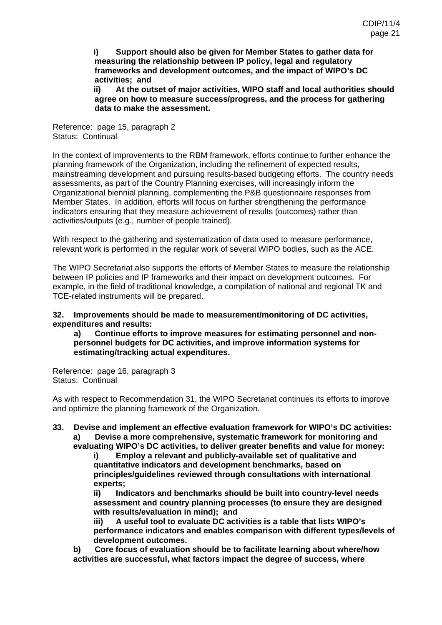**i) Support should also be given for Member States to gather data for measuring the relationship between IP policy, legal and regulatory frameworks and development outcomes, and the impact of WIPO's DC activities; and** 

**ii) At the outset of major activities, WIPO staff and local authorities should agree on how to measure success/progress, and the process for gathering data to make the assessment.**

Reference: page 15, paragraph 2 Status: Continual

In the context of improvements to the RBM framework, efforts continue to further enhance the planning framework of the Organization, including the refinement of expected results, mainstreaming development and pursuing results-based budgeting efforts. The country needs assessments, as part of the Country Planning exercises, will increasingly inform the Organizational biennial planning, complementing the P&B questionnaire responses from Member States. In addition, efforts will focus on further strengthening the performance indicators ensuring that they measure achievement of results (outcomes) rather than activities/outputs (e.g., number of people trained).

With respect to the gathering and systematization of data used to measure performance, relevant work is performed in the regular work of several WIPO bodies, such as the ACE.

The WIPO Secretariat also supports the efforts of Member States to measure the relationship between IP policies and IP frameworks and their impact on development outcomes. For example, in the field of traditional knowledge, a compilation of national and regional TK and TCE-related instruments will be prepared.

#### **32. Improvements should be made to measurement/monitoring of DC activities, expenditures and results:**

**a) Continue efforts to improve measures for estimating personnel and nonpersonnel budgets for DC activities, and improve information systems for estimating/tracking actual expenditures.** 

Reference: page 16, paragraph 3 Status: Continual

As with respect to Recommendation 31, the WIPO Secretariat continues its efforts to improve and optimize the planning framework of the Organization.

**33. Devise and implement an effective evaluation framework for WIPO's DC activities: a) Devise a more comprehensive, systematic framework for monitoring and evaluating WIPO's DC activities, to deliver greater benefits and value for money:** 

**i) Employ a relevant and publicly-available set of qualitative and quantitative indicators and development benchmarks, based on principles/guidelines reviewed through consultations with international experts;** 

**ii) Indicators and benchmarks should be built into country-level needs assessment and country planning processes (to ensure they are designed with results/evaluation in mind); and** 

**iii) A useful tool to evaluate DC activities is a table that lists WIPO's performance indicators and enables comparison with different types/levels of development outcomes.** 

**b) Core focus of evaluation should be to facilitate learning about where/how activities are successful, what factors impact the degree of success, where**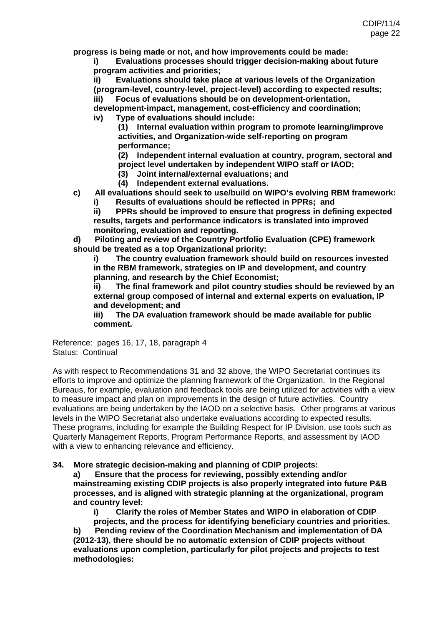**progress is being made or not, and how improvements could be made:** 

**i) Evaluations processes should trigger decision-making about future program activities and priorities;** 

**ii) Evaluations should take place at various levels of the Organization (program-level, country-level, project-level) according to expected results; iii) Focus of evaluations should be on development-orientation,** 

**development-impact, management, cost-efficiency and coordination; iv) Type of evaluations should include:** 

**(1) Internal evaluation within program to promote learning/improve activities, and Organization-wide self-reporting on program performance;** 

**(2) Independent internal evaluation at country, program, sectoral and project level undertaken by independent WIPO staff or IAOD;** 

- **(3) Joint internal/external evaluations; and**
- **(4) Independent external evaluations.**

**c) All evaluations should seek to use/build on WIPO's evolving RBM framework:** 

**i) Results of evaluations should be reflected in PPRs; and** 

**ii) PPRs should be improved to ensure that progress in defining expected results, targets and performance indicators is translated into improved monitoring, evaluation and reporting.** 

**d) Piloting and review of the Country Portfolio Evaluation (CPE) framework should be treated as a top Organizational priority:** 

**i) The country evaluation framework should build on resources invested in the RBM framework, strategies on IP and development, and country planning, and research by the Chief Economist;** 

**ii) The final framework and pilot country studies should be reviewed by an external group composed of internal and external experts on evaluation, IP and development; and** 

**iii) The DA evaluation framework should be made available for public comment.** 

Reference: pages 16, 17, 18, paragraph 4 Status: Continual

As with respect to Recommendations 31 and 32 above, the WIPO Secretariat continues its efforts to improve and optimize the planning framework of the Organization. In the Regional Bureaus, for example, evaluation and feedback tools are being utilized for activities with a view to measure impact and plan on improvements in the design of future activities. Country evaluations are being undertaken by the IAOD on a selective basis. Other programs at various levels in the WIPO Secretariat also undertake evaluations according to expected results. These programs, including for example the Building Respect for IP Division, use tools such as Quarterly Management Reports, Program Performance Reports, and assessment by IAOD with a view to enhancing relevance and efficiency.

### **34. More strategic decision-making and planning of CDIP projects:**

**a) Ensure that the process for reviewing, possibly extending and/or mainstreaming existing CDIP projects is also properly integrated into future P&B processes, and is aligned with strategic planning at the organizational, program and country level:** 

**i) Clarify the roles of Member States and WIPO in elaboration of CDIP** 

**projects, and the process for identifying beneficiary countries and priorities. b) Pending review of the Coordination Mechanism and implementation of DA (2012-13), there should be no automatic extension of CDIP projects without evaluations upon completion, particularly for pilot projects and projects to test methodologies:**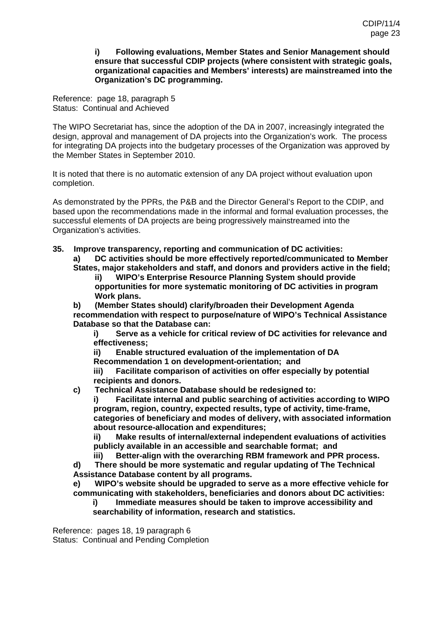#### **i) Following evaluations, Member States and Senior Management should ensure that successful CDIP projects (where consistent with strategic goals, organizational capacities and Members' interests) are mainstreamed into the Organization's DC programming.**

Reference: page 18, paragraph 5 Status: Continual and Achieved

The WIPO Secretariat has, since the adoption of the DA in 2007, increasingly integrated the design, approval and management of DA projects into the Organization's work. The process for integrating DA projects into the budgetary processes of the Organization was approved by the Member States in September 2010.

It is noted that there is no automatic extension of any DA project without evaluation upon completion.

As demonstrated by the PPRs, the P&B and the Director General's Report to the CDIP, and based upon the recommendations made in the informal and formal evaluation processes, the successful elements of DA projects are being progressively mainstreamed into the Organization's activities.

#### **35. Improve transparency, reporting and communication of DC activities: a) DC activities should be more effectively reported/communicated to Member States, major stakeholders and staff, and donors and providers active in the field;**

**ii) WIPO's Enterprise Resource Planning System should provide opportunities for more systematic monitoring of DC activities in program Work plans.** 

**b) (Member States should) clarify/broaden their Development Agenda recommendation with respect to purpose/nature of WIPO's Technical Assistance Database so that the Database can:** 

**i) Serve as a vehicle for critical review of DC activities for relevance and effectiveness;** 

**ii) Enable structured evaluation of the implementation of DA** 

**Recommendation 1 on development-orientation; and** 

**iii) Facilitate comparison of activities on offer especially by potential recipients and donors.** 

**c) Technical Assistance Database should be redesigned to:** 

**i) Facilitate internal and public searching of activities according to WIPO program, region, country, expected results, type of activity, time-frame, categories of beneficiary and modes of delivery, with associated information about resource-allocation and expenditures;** 

**ii) Make results of internal/external independent evaluations of activities publicly available in an accessible and searchable format; and** 

**iii) Better-align with the overarching RBM framework and PPR process. d) There should be more systematic and regular updating of The Technical Assistance Database content by all programs.** 

**e) WIPO's website should be upgraded to serve as a more effective vehicle for communicating with stakeholders, beneficiaries and donors about DC activities:** 

**i) Immediate measures should be taken to improve accessibility and searchability of information, research and statistics.** 

Reference: pages 18, 19 paragraph 6 Status: Continual and Pending Completion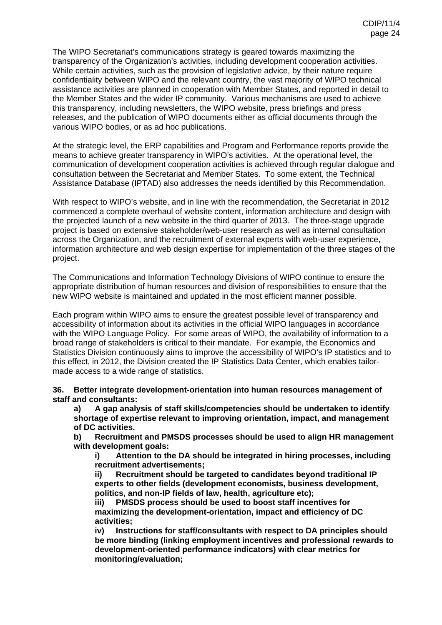The WIPO Secretariat's communications strategy is geared towards maximizing the transparency of the Organization's activities, including development cooperation activities. While certain activities, such as the provision of legislative advice, by their nature require confidentiality between WIPO and the relevant country, the vast majority of WIPO technical assistance activities are planned in cooperation with Member States, and reported in detail to the Member States and the wider IP community. Various mechanisms are used to achieve this transparency, including newsletters, the WIPO website, press briefings and press releases, and the publication of WIPO documents either as official documents through the various WIPO bodies, or as ad hoc publications.

At the strategic level, the ERP capabilities and Program and Performance reports provide the means to achieve greater transparency in WIPO's activities. At the operational level, the communication of development cooperation activities is achieved through regular dialogue and consultation between the Secretariat and Member States. To some extent, the Technical Assistance Database (IPTAD) also addresses the needs identified by this Recommendation.

With respect to WIPO's website, and in line with the recommendation, the Secretariat in 2012 commenced a complete overhaul of website content, information architecture and design with the projected launch of a new website in the third quarter of 2013. The three-stage upgrade project is based on extensive stakeholder/web-user research as well as internal consultation across the Organization, and the recruitment of external experts with web-user experience, information architecture and web design expertise for implementation of the three stages of the project.

The Communications and Information Technology Divisions of WIPO continue to ensure the appropriate distribution of human resources and division of responsibilities to ensure that the new WIPO website is maintained and updated in the most efficient manner possible.

Each program within WIPO aims to ensure the greatest possible level of transparency and accessibility of information about its activities in the official WIPO languages in accordance with the WIPO Language Policy. For some areas of WIPO, the availability of information to a broad range of stakeholders is critical to their mandate. For example, the Economics and Statistics Division continuously aims to improve the accessibility of WIPO's IP statistics and to this effect, in 2012, the Division created the [IP Statistics Data Center](http://applsrv12.wipo.int:8080/ipstatv2/ipstats/patentsSearch), which enables tailormade access to a wide range of statistics.

**36. Better integrate development-orientation into human resources management of staff and consultants:** 

**a) A gap analysis of staff skills/competencies should be undertaken to identify shortage of expertise relevant to improving orientation, impact, and management of DC activities.** 

**b) Recruitment and PMSDS processes should be used to align HR management with development goals:** 

**i) Attention to the DA should be integrated in hiring processes, including recruitment advertisements;** 

**ii) Recruitment should be targeted to candidates beyond traditional IP experts to other fields (development economists, business development, politics, and non-IP fields of law, health, agriculture etc);** 

**iii) PMSDS process should be used to boost staff incentives for maximizing the development-orientation, impact and efficiency of DC activities;** 

**iv) Instructions for staff/consultants with respect to DA principles should be more binding (linking employment incentives and professional rewards to development-oriented performance indicators) with clear metrics for monitoring/evaluation;**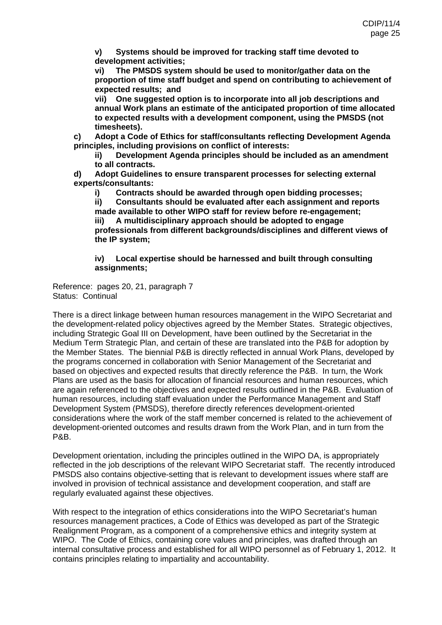**v) Systems should be improved for tracking staff time devoted to development activities;** 

**vi) The PMSDS system should be used to monitor/gather data on the proportion of time staff budget and spend on contributing to achievement of expected results; and** 

**vii) One suggested option is to incorporate into all job descriptions and annual Work plans an estimate of the anticipated proportion of time allocated to expected results with a development component, using the PMSDS (not timesheets).** 

**c) Adopt a Code of Ethics for staff/consultants reflecting Development Agenda principles, including provisions on conflict of interests:** 

**ii) Development Agenda principles should be included as an amendment to all contracts.** 

**d) Adopt Guidelines to ensure transparent processes for selecting external experts/consultants:** 

**i) Contracts should be awarded through open bidding processes;** 

**ii) Consultants should be evaluated after each assignment and reports made available to other WIPO staff for review before re-engagement; iii) A multidisciplinary approach should be adopted to engage professionals from different backgrounds/disciplines and different views of the IP system;** 

### **iv) Local expertise should be harnessed and built through consulting assignments;**

Reference: pages 20, 21, paragraph 7 Status: Continual

There is a direct linkage between human resources management in the WIPO Secretariat and the development-related policy objectives agreed by the Member States. Strategic objectives, including Strategic Goal III on Development, have been outlined by the Secretariat in the Medium Term Strategic Plan, and certain of these are translated into the P&B for adoption by the Member States. The biennial P&B is directly reflected in annual Work Plans, developed by the programs concerned in collaboration with Senior Management of the Secretariat and based on objectives and expected results that directly reference the P&B. In turn, the Work Plans are used as the basis for allocation of financial resources and human resources, which are again referenced to the objectives and expected results outlined in the P&B. Evaluation of human resources, including staff evaluation under the Performance Management and Staff Development System (PMSDS), therefore directly references development-oriented considerations where the work of the staff member concerned is related to the achievement of development-oriented outcomes and results drawn from the Work Plan, and in turn from the P&B.

Development orientation, including the principles outlined in the WIPO DA, is appropriately reflected in the job descriptions of the relevant WIPO Secretariat staff. The recently introduced PMSDS also contains objective-setting that is relevant to development issues where staff are involved in provision of technical assistance and development cooperation, and staff are regularly evaluated against these objectives.

With respect to the integration of ethics considerations into the WIPO Secretariat's human resources management practices, a Code of Ethics was developed as part of the Strategic Realignment Program, as a component of a comprehensive ethics and integrity system at WIPO. The Code of Ethics, containing core values and principles, was drafted through an internal consultative process and established for all WIPO personnel as of February 1, 2012. It contains principles relating to impartiality and accountability.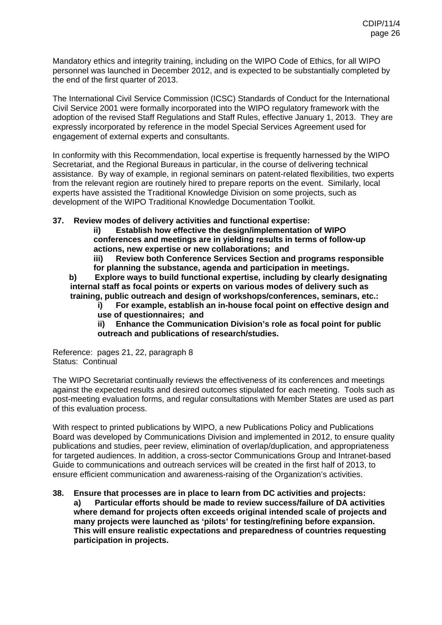Mandatory ethics and integrity training, including on the WIPO Code of Ethics, for all WIPO personnel was launched in December 2012, and is expected to be substantially completed by the end of the first quarter of 2013.

The International Civil Service Commission (ICSC) Standards of Conduct for the International Civil Service 2001 were formally incorporated into the WIPO regulatory framework with the adoption of the revised Staff Regulations and Staff Rules, effective January 1, 2013. They are expressly incorporated by reference in the model Special Services Agreement used for engagement of external experts and consultants.

In conformity with this Recommendation, local expertise is frequently harnessed by the WIPO Secretariat, and the Regional Bureaus in particular, in the course of delivering technical assistance. By way of example, in regional seminars on patent-related flexibilities, two experts from the relevant region are routinely hired to prepare reports on the event. Similarly, local experts have assisted the Traditional Knowledge Division on some projects, such as development of the WIPO Traditional Knowledge Documentation Toolkit.

### **37. Review modes of delivery activities and functional expertise:**

**ii) Establish how effective the design/implementation of WIPO conferences and meetings are in yielding results in terms of follow-up actions, new expertise or new collaborations; and** 

**iii) Review both Conference Services Section and programs responsible for planning the substance, agenda and participation in meetings.** 

**b) Explore ways to build functional expertise, including by clearly designating internal staff as focal points or experts on various modes of delivery such as training, public outreach and design of workshops/conferences, seminars, etc.:** 

**i) For example, establish an in-house focal point on effective design and use of questionnaires; and** 

**ii) Enhance the Communication Division's role as focal point for public outreach and publications of research/studies.** 

Reference: pages 21, 22, paragraph 8 Status: Continual

The WIPO Secretariat continually reviews the effectiveness of its conferences and meetings against the expected results and desired outcomes stipulated for each meeting. Tools such as post-meeting evaluation forms, and regular consultations with Member States are used as part of this evaluation process.

With respect to printed publications by WIPO, a new Publications Policy and Publications Board was developed by Communications Division and implemented in 2012, to ensure quality publications and studies, peer review, elimination of overlap/duplication, and appropriateness for targeted audiences. In addition, a cross-sector Communications Group and Intranet-based Guide to communications and outreach services will be created in the first half of 2013, to ensure efficient communication and awareness-raising of the Organization's activities.

#### **38. Ensure that processes are in place to learn from DC activities and projects: a) Particular efforts should be made to review success/failure of DA activities where demand for projects often exceeds original intended scale of projects and many projects were launched as 'pilots' for testing/refining before expansion. This will ensure realistic expectations and preparedness of countries requesting participation in projects.**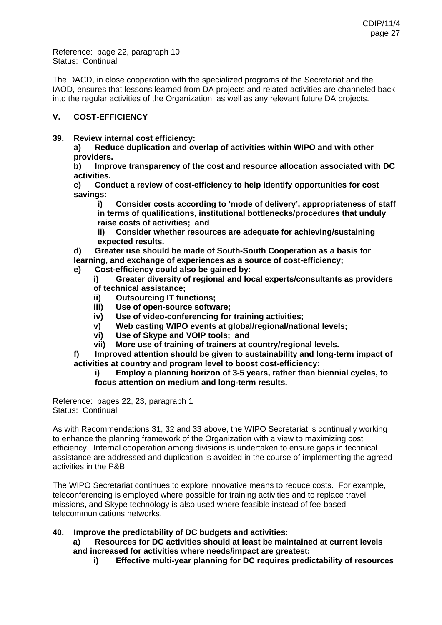Reference: page 22, paragraph 10 Status: Continual

The DACD, in close cooperation with the specialized programs of the Secretariat and the IAOD, ensures that lessons learned from DA projects and related activities are channeled back into the regular activities of the Organization, as well as any relevant future DA projects.

# **V. COST-EFFICIENCY**

**39. Review internal cost efficiency:** 

**a) Reduce duplication and overlap of activities within WIPO and with other providers.** 

**b) Improve transparency of the cost and resource allocation associated with DC activities.** 

**c) Conduct a review of cost-efficiency to help identify opportunities for cost savings:** 

**i) Consider costs according to 'mode of delivery', appropriateness of staff in terms of qualifications, institutional bottlenecks/procedures that unduly raise costs of activities; and** 

**ii) Consider whether resources are adequate for achieving/sustaining expected results.** 

**d) Greater use should be made of South-South Cooperation as a basis for** 

- **learning, and exchange of experiences as a source of cost-efficiency;**
- **e) Cost-efficiency could also be gained by:**

**i) Greater diversity of regional and local experts/consultants as providers of technical assistance;** 

- **ii) Outsourcing IT functions;**
- **iii) Use of open-source software;**
- **iv) Use of video-conferencing for training activities;**
- **v) Web casting WIPO events at global/regional/national levels;**
- **vi) Use of Skype and VOIP tools; and**
- **vii) More use of training of trainers at country/regional levels.**
- **f) Improved attention should be given to sustainability and long-term impact of activities at country and program level to boost cost-efficiency:**

### **i) Employ a planning horizon of 3-5 years, rather than biennial cycles, to focus attention on medium and long-term results.**

Reference: pages 22, 23, paragraph 1 Status: Continual

As with Recommendations 31, 32 and 33 above, the WIPO Secretariat is continually working to enhance the planning framework of the Organization with a view to maximizing cost efficiency. Internal cooperation among divisions is undertaken to ensure gaps in technical assistance are addressed and duplication is avoided in the course of implementing the agreed activities in the P&B.

The WIPO Secretariat continues to explore innovative means to reduce costs. For example, teleconferencing is employed where possible for training activities and to replace travel missions, and Skype technology is also used where feasible instead of fee-based telecommunications networks.

### **40. Improve the predictability of DC budgets and activities:**

**a) Resources for DC activities should at least be maintained at current levels and increased for activities where needs/impact are greatest:** 

**i) Effective multi-year planning for DC requires predictability of resources**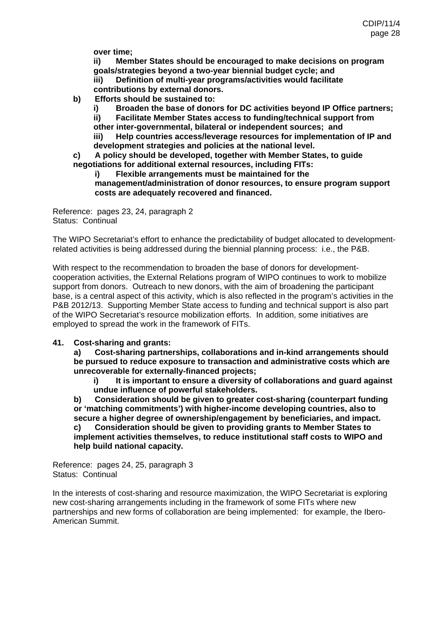**over time;** 

**ii) Member States should be encouraged to make decisions on program goals/strategies beyond a two-year biennial budget cycle; and** 

**iii) Definition of multi-year programs/activities would facilitate** 

- **contributions by external donors.**
- **b) Efforts should be sustained to:**

**i) Broaden the base of donors for DC activities beyond IP Office partners;** 

**ii) Facilitate Member States access to funding/technical support from** 

**other inter-governmental, bilateral or independent sources; and** 

**iii) Help countries access/leverage resources for implementation of IP and development strategies and policies at the national level.** 

**c) A policy should be developed, together with Member States, to guide negotiations for additional external resources, including FITs:** 

**i) Flexible arrangements must be maintained for the** 

**management/administration of donor resources, to ensure program support costs are adequately recovered and financed.** 

Reference: pages 23, 24, paragraph 2 Status: Continual

The WIPO Secretariat's effort to enhance the predictability of budget allocated to developmentrelated activities is being addressed during the biennial planning process: i.e., the P&B.

With respect to the recommendation to broaden the base of donors for developmentcooperation activities, the External Relations program of WIPO continues to work to mobilize support from donors. Outreach to new donors, with the aim of broadening the participant base, is a central aspect of this activity, which is also reflected in the program's activities in the P&B 2012/13. Supporting Member State access to funding and technical support is also part of the WIPO Secretariat's resource mobilization efforts. In addition, some initiatives are employed to spread the work in the framework of FITs.

### **41. Cost-sharing and grants:**

**a) Cost-sharing partnerships, collaborations and in-kind arrangements should be pursued to reduce exposure to transaction and administrative costs which are unrecoverable for externally-financed projects;** 

**i) It is important to ensure a diversity of collaborations and guard against undue influence of powerful stakeholders.** 

**b) Consideration should be given to greater cost-sharing (counterpart funding or 'matching commitments') with higher-income developing countries, also to secure a higher degree of ownership/engagement by beneficiaries, and impact. c) Consideration should be given to providing grants to Member States to implement activities themselves, to reduce institutional staff costs to WIPO and** 

**help build national capacity.** 

Reference: pages 24, 25, paragraph 3 Status: Continual

In the interests of cost-sharing and resource maximization, the WIPO Secretariat is exploring new cost-sharing arrangements including in the framework of some FITs where new partnerships and new forms of collaboration are being implemented: for example, the Ibero-American Summit.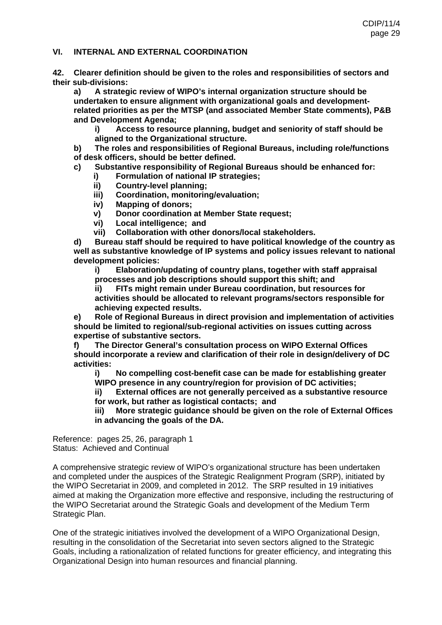#### **VI. INTERNAL AND EXTERNAL COORDINATION**

**42. Clearer definition should be given to the roles and responsibilities of sectors and their sub-divisions:** 

**a) A strategic review of WIPO's internal organization structure should be undertaken to ensure alignment with organizational goals and developmentrelated priorities as per the MTSP (and associated Member State comments), P&B and Development Agenda;** 

**i) Access to resource planning, budget and seniority of staff should be aligned to the Organizational structure.** 

**b) The roles and responsibilities of Regional Bureaus, including role/functions of desk officers, should be better defined.** 

**c) Substantive responsibility of Regional Bureaus should be enhanced for:** 

- **i) Formulation of national IP strategies;**
- **ii) Country-level planning;**
- **iii) Coordination, monitoring/evaluation;**
- **iv) Mapping of donors;**
- **v) Donor coordination at Member State request;**
- **vi) Local intelligence; and**
- **vii) Collaboration with other donors/local stakeholders.**

**d) Bureau staff should be required to have political knowledge of the country as well as substantive knowledge of IP systems and policy issues relevant to national development policies:** 

**i) Elaboration/updating of country plans, together with staff appraisal processes and job descriptions should support this shift; and** 

**ii) FITs might remain under Bureau coordination, but resources for activities should be allocated to relevant programs/sectors responsible for achieving expected results.** 

**e) Role of Regional Bureaus in direct provision and implementation of activities should be limited to regional/sub-regional activities on issues cutting across expertise of substantive sectors.** 

**f) The Director General's consultation process on WIPO External Offices should incorporate a review and clarification of their role in design/delivery of DC activities:** 

**i) No compelling cost-benefit case can be made for establishing greater WIPO presence in any country/region for provision of DC activities;** 

**ii) External offices are not generally perceived as a substantive resource for work, but rather as logistical contacts; and** 

**iii) More strategic guidance should be given on the role of External Offices in advancing the goals of the DA.** 

Reference: pages 25, 26, paragraph 1 Status: Achieved and Continual

A comprehensive strategic review of WIPO's organizational structure has been undertaken and completed under the auspices of the Strategic Realignment Program (SRP), initiated by the WIPO Secretariat in 2009, and completed in 2012. The SRP resulted in 19 initiatives aimed at making the Organization more effective and responsive, including the restructuring of the WIPO Secretariat around the Strategic Goals and development of the Medium Term Strategic Plan.

One of the strategic initiatives involved the development of a WIPO Organizational Design, resulting in the consolidation of the Secretariat into seven sectors aligned to the Strategic Goals, including a rationalization of related functions for greater efficiency, and integrating this Organizational Design into human resources and financial planning.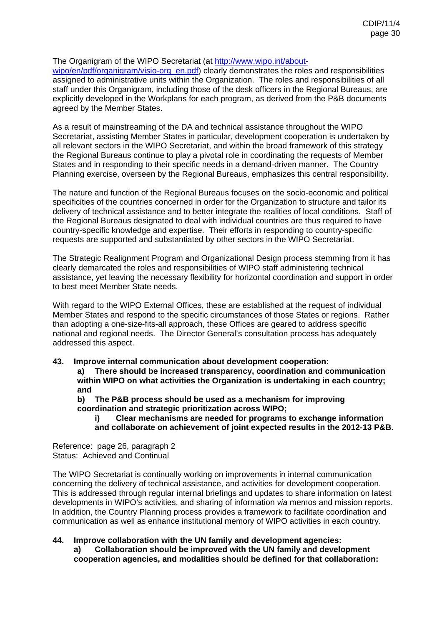### The Organigram of the WIPO Secretariat (at [http://www.wipo.int/about-](http://www.wipo.int/about-wipo/en/pdf/organigram/visio-org_en.pdf)

[wipo/en/pdf/organigram/visio-org\\_en.pdf](http://www.wipo.int/about-wipo/en/pdf/organigram/visio-org_en.pdf)) clearly demonstrates the roles and responsibilities assigned to administrative units within the Organization. The roles and responsibilities of all staff under this Organigram, including those of the desk officers in the Regional Bureaus, are explicitly developed in the Workplans for each program, as derived from the P&B documents agreed by the Member States.

As a result of mainstreaming of the DA and technical assistance throughout the WIPO Secretariat, assisting Member States in particular, development cooperation is undertaken by all relevant sectors in the WIPO Secretariat, and within the broad framework of this strategy the Regional Bureaus continue to play a pivotal role in coordinating the requests of Member States and in responding to their specific needs in a demand-driven manner. The Country Planning exercise, overseen by the Regional Bureaus, emphasizes this central responsibility.

The nature and function of the Regional Bureaus focuses on the socio-economic and political specificities of the countries concerned in order for the Organization to structure and tailor its delivery of technical assistance and to better integrate the realities of local conditions. Staff of the Regional Bureaus designated to deal with individual countries are thus required to have country-specific knowledge and expertise. Their efforts in responding to country-specific requests are supported and substantiated by other sectors in the WIPO Secretariat.

The Strategic Realignment Program and Organizational Design process stemming from it has clearly demarcated the roles and responsibilities of WIPO staff administering technical assistance, yet leaving the necessary flexibility for horizontal coordination and support in order to best meet Member State needs.

With regard to the WIPO External Offices, these are established at the request of individual Member States and respond to the specific circumstances of those States or regions. Rather than adopting a one-size-fits-all approach, these Offices are geared to address specific national and regional needs. The Director General's consultation process has adequately addressed this aspect.

### **43. Improve internal communication about development cooperation:**

**a) There should be increased transparency, coordination and communication within WIPO on what activities the Organization is undertaking in each country; and** 

**b) The P&B process should be used as a mechanism for improving coordination and strategic prioritization across WIPO;** 

**i) Clear mechanisms are needed for programs to exchange information and collaborate on achievement of joint expected results in the 2012-13 P&B.** 

Reference: page 26, paragraph 2 Status: Achieved and Continual

The WIPO Secretariat is continually working on improvements in internal communication concerning the delivery of technical assistance, and activities for development cooperation. This is addressed through regular internal briefings and updates to share information on latest developments in WIPO's activities, and sharing of information *via* memos and mission reports. In addition, the Country Planning process provides a framework to facilitate coordination and communication as well as enhance institutional memory of WIPO activities in each country.

### **44. Improve collaboration with the UN family and development agencies:**

**a) Collaboration should be improved with the UN family and development cooperation agencies, and modalities should be defined for that collaboration:**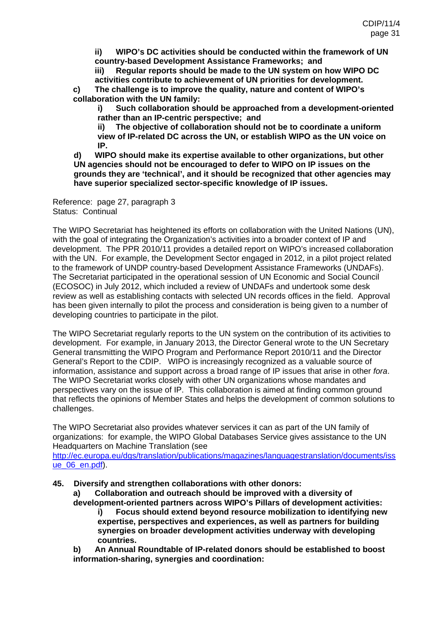**ii) WIPO's DC activities should be conducted within the framework of UN country-based Development Assistance Frameworks; and** 

**iii) Regular reports should be made to the UN system on how WIPO DC activities contribute to achievement of UN priorities for development.** 

**c) The challenge is to improve the quality, nature and content of WIPO's collaboration with the UN family:** 

**i) Such collaboration should be approached from a development-oriented rather than an IP-centric perspective; and** 

**ii) The objective of collaboration should not be to coordinate a uniform view of IP-related DC across the UN, or establish WIPO as the UN voice on IP.** 

**d) WIPO should make its expertise available to other organizations, but other UN agencies should not be encouraged to defer to WIPO on IP issues on the grounds they are 'technical', and it should be recognized that other agencies may have superior specialized sector-specific knowledge of IP issues.** 

Reference: page 27, paragraph 3 Status: Continual

The WIPO Secretariat has heightened its efforts on collaboration with the United Nations (UN), with the goal of integrating the Organization's activities into a broader context of IP and development. The PPR 2010/11 provides a detailed report on WIPO's increased collaboration with the UN. For example, the Development Sector engaged in 2012, in a pilot project related to the framework of UNDP country-based Development Assistance Frameworks (UNDAFs). The Secretariat participated in the operational session of UN Economic and Social Council (ECOSOC) in July 2012, which included a review of UNDAFs and undertook some desk review as well as establishing contacts with selected UN records offices in the field. Approval has been given internally to pilot the process and consideration is being given to a number of developing countries to participate in the pilot.

The WIPO Secretariat regularly reports to the UN system on the contribution of its activities to development. For example, in January 2013, the Director General wrote to the UN Secretary General transmitting the WIPO Program and Performance Report 2010/11 and the Director General's Report to the CDIP. WIPO is increasingly recognized as a valuable source of information, assistance and support across a broad range of IP issues that arise in other *fora*. The WIPO Secretariat works closely with other UN organizations whose mandates and perspectives vary on the issue of IP. This collaboration is aimed at finding common ground that reflects the opinions of Member States and helps the development of common solutions to challenges.

The WIPO Secretariat also provides whatever services it can as part of the UN family of organizations: for example, the WIPO Global Databases Service gives assistance to the UN Headquarters on Machine Translation (see

[http://ec.europa.eu/dgs/translation/publications/magazines/languagestranslation/documents/iss](http://ec.europa.eu/dgs/translation/publications/magazines/languagestranslation/documents/issue_06_en.pdf) [ue\\_06\\_en.pdf](http://ec.europa.eu/dgs/translation/publications/magazines/languagestranslation/documents/issue_06_en.pdf)).

**45. Diversify and strengthen collaborations with other donors:** 

**a) Collaboration and outreach should be improved with a diversity of development-oriented partners across WIPO's Pillars of development activities:** 

**i) Focus should extend beyond resource mobilization to identifying new expertise, perspectives and experiences, as well as partners for building synergies on broader development activities underway with developing countries.** 

**b) An Annual Roundtable of IP-related donors should be established to boost information-sharing, synergies and coordination:**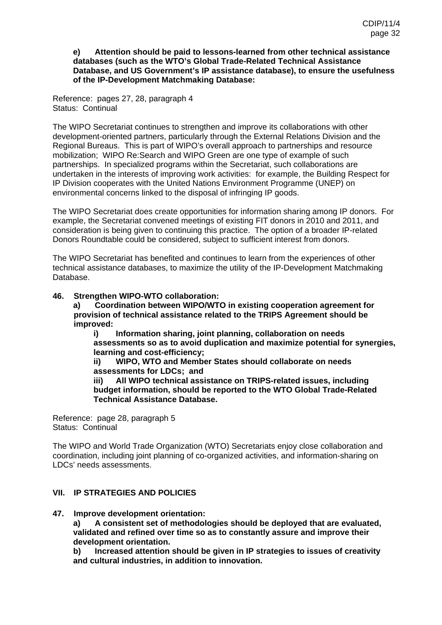#### **e) Attention should be paid to lessons-learned from other technical assistance databases (such as the WTO's Global Trade-Related Technical Assistance Database, and US Government's IP assistance database), to ensure the usefulness of the IP-Development Matchmaking Database:**

Reference: pages 27, 28, paragraph 4 Status: Continual

The WIPO Secretariat continues to strengthen and improve its collaborations with other development-oriented partners, particularly through the External Relations Division and the Regional Bureaus. This is part of WIPO's overall approach to partnerships and resource mobilization; WIPO Re:Search and WIPO Green are one type of example of such partnerships. In specialized programs within the Secretariat, such collaborations are undertaken in the interests of improving work activities: for example, the Building Respect for IP Division cooperates with the United Nations Environment Programme (UNEP) on environmental concerns linked to the disposal of infringing IP goods.

The WIPO Secretariat does create opportunities for information sharing among IP donors. For example, the Secretariat convened meetings of existing FIT donors in 2010 and 2011, and consideration is being given to continuing this practice. The option of a broader IP-related Donors Roundtable could be considered, subject to sufficient interest from donors.

The WIPO Secretariat has benefited and continues to learn from the experiences of other technical assistance databases, to maximize the utility of the IP-Development Matchmaking Database.

### **46. Strengthen WIPO-WTO collaboration:**

**a) Coordination between WIPO/WTO in existing cooperation agreement for provision of technical assistance related to the TRIPS Agreement should be improved:** 

**i) Information sharing, joint planning, collaboration on needs assessments so as to avoid duplication and maximize potential for synergies, learning and cost-efficiency;** 

**ii) WIPO, WTO and Member States should collaborate on needs assessments for LDCs; and** 

**iii) All WIPO technical assistance on TRIPS-related issues, including budget information, should be reported to the WTO Global Trade-Related Technical Assistance Database.** 

Reference: page 28, paragraph 5 Status: Continual

The WIPO and World Trade Organization (WTO) Secretariats enjoy close collaboration and coordination, including joint planning of co-organized activities, and information-sharing on LDCs' needs assessments.

### **VII. IP STRATEGIES AND POLICIES**

### **47. Improve development orientation:**

**a) A consistent set of methodologies should be deployed that are evaluated, validated and refined over time so as to constantly assure and improve their development orientation.** 

**b) Increased attention should be given in IP strategies to issues of creativity and cultural industries, in addition to innovation.**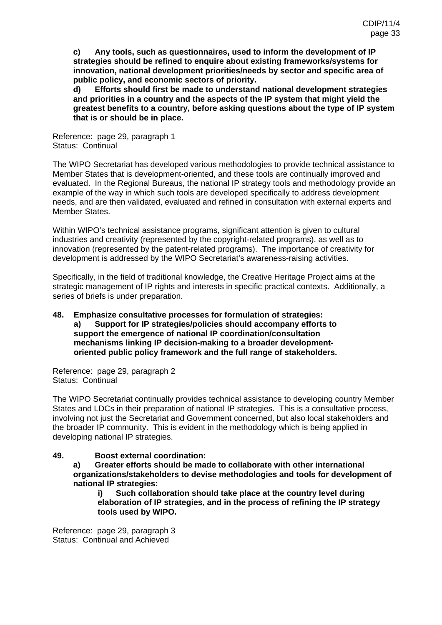**c) Any tools, such as questionnaires, used to inform the development of IP strategies should be refined to enquire about existing frameworks/systems for innovation, national development priorities/needs by sector and specific area of public policy, and economic sectors of priority.** 

**d) Efforts should first be made to understand national development strategies and priorities in a country and the aspects of the IP system that might yield the greatest benefits to a country, before asking questions about the type of IP system that is or should be in place.** 

Reference: page 29, paragraph 1 Status: Continual

The WIPO Secretariat has developed various methodologies to provide technical assistance to Member States that is development-oriented, and these tools are continually improved and evaluated. In the Regional Bureaus, the national IP strategy tools and methodology provide an example of the way in which such tools are developed specifically to address development needs, and are then validated, evaluated and refined in consultation with external experts and Member States.

Within WIPO's technical assistance programs, significant attention is given to cultural industries and creativity (represented by the copyright-related programs), as well as to innovation (represented by the patent-related programs). The importance of creativity for development is addressed by the WIPO Secretariat's awareness-raising activities.

Specifically, in the field of traditional knowledge, the Creative Heritage Project aims at the strategic management of IP rights and interests in specific practical contexts. Additionally, a series of briefs is under preparation.

#### **48. Emphasize consultative processes for formulation of strategies: a) Support for IP strategies/policies should accompany efforts to support the emergence of national IP coordination/consultation mechanisms linking IP decision-making to a broader developmentoriented public policy framework and the full range of stakeholders.**

Reference: page 29, paragraph 2 Status: Continual

The WIPO Secretariat continually provides technical assistance to developing country Member States and LDCs in their preparation of national IP strategies. This is a consultative process, involving not just the Secretariat and Government concerned, but also local stakeholders and the broader IP community. This is evident in the methodology which is being applied in developing national IP strategies.

### **49. Boost external coordination:**

**a) Greater efforts should be made to collaborate with other international organizations/stakeholders to devise methodologies and tools for development of national IP strategies:** 

**i) Such collaboration should take place at the country level during elaboration of IP strategies, and in the process of refining the IP strategy tools used by WIPO.** 

Reference: page 29, paragraph 3 Status: Continual and Achieved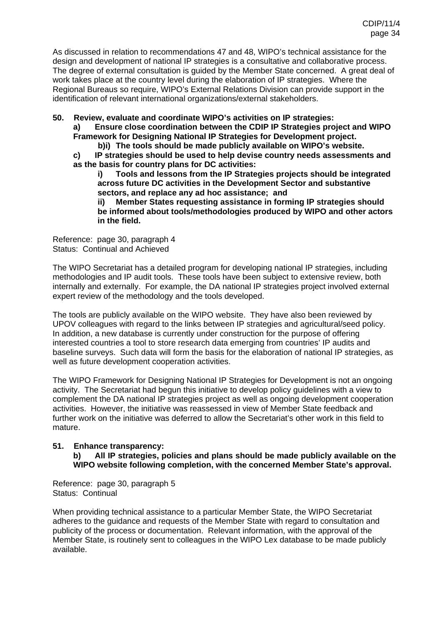As discussed in relation to recommendations 47 and 48, WIPO's technical assistance for the design and development of national IP strategies is a consultative and collaborative process. The degree of external consultation is guided by the Member State concerned. A great deal of work takes place at the country level during the elaboration of IP strategies. Where the Regional Bureaus so require, WIPO's External Relations Division can provide support in the identification of relevant international organizations/external stakeholders.

**50. Review, evaluate and coordinate WIPO's activities on IP strategies:** 

**a) Ensure close coordination between the CDIP IP Strategies project and WIPO Framework for Designing National IP Strategies for Development project.** 

**b)i) The tools should be made publicly available on WIPO's website.** 

**c) IP strategies should be used to help devise country needs assessments and as the basis for country plans for DC activities:** 

**i) Tools and lessons from the IP Strategies projects should be integrated across future DC activities in the Development Sector and substantive sectors, and replace any ad hoc assistance; and** 

**ii) Member States requesting assistance in forming IP strategies should be informed about tools/methodologies produced by WIPO and other actors in the field.** 

Reference: page 30, paragraph 4 Status: Continual and Achieved

The WIPO Secretariat has a detailed program for developing national IP strategies, including methodologies and IP audit tools. These tools have been subject to extensive review, both internally and externally. For example, the DA national IP strategies project involved external expert review of the methodology and the tools developed.

The tools are publicly available on the WIPO website. They have also been reviewed by UPOV colleagues with regard to the links between IP strategies and agricultural/seed policy. In addition, a new database is currently under construction for the purpose of offering interested countries a tool to store research data emerging from countries' IP audits and baseline surveys. Such data will form the basis for the elaboration of national IP strategies, as well as future development cooperation activities.

The WIPO Framework for Designing National IP Strategies for Development is not an ongoing activity. The Secretariat had begun this initiative to develop policy guidelines with a view to complement the DA national IP strategies project as well as ongoing development cooperation activities. However, the initiative was reassessed in view of Member State feedback and further work on the initiative was deferred to allow the Secretariat's other work in this field to mature.

### **51. Enhance transparency:**

#### **b) All IP strategies, policies and plans should be made publicly available on the WIPO website following completion, with the concerned Member State's approval.**

Reference: page 30, paragraph 5 Status: Continual

When providing technical assistance to a particular Member State, the WIPO Secretariat adheres to the guidance and requests of the Member State with regard to consultation and publicity of the process or documentation. Relevant information, with the approval of the Member State, is routinely sent to colleagues in the WIPO Lex database to be made publicly available.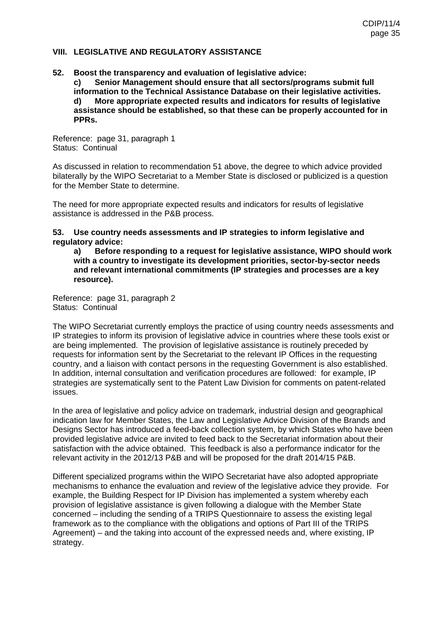#### **VIII. LEGISLATIVE AND REGULATORY ASSISTANCE**

#### **52. Boost the transparency and evaluation of legislative advice:**

**c) Senior Management should ensure that all sectors/programs submit full information to the Technical Assistance Database on their legislative activities. d) More appropriate expected results and indicators for results of legislative assistance should be established, so that these can be properly accounted for in PPRs.** 

Reference: page 31, paragraph 1 Status: Continual

As discussed in relation to recommendation 51 above, the degree to which advice provided bilaterally by the WIPO Secretariat to a Member State is disclosed or publicized is a question for the Member State to determine.

The need for more appropriate expected results and indicators for results of legislative assistance is addressed in the P&B process.

**53. Use country needs assessments and IP strategies to inform legislative and regulatory advice:** 

**a) Before responding to a request for legislative assistance, WIPO should work with a country to investigate its development priorities, sector-by-sector needs and relevant international commitments (IP strategies and processes are a key resource).** 

Reference: page 31, paragraph 2 Status: Continual

The WIPO Secretariat currently employs the practice of using country needs assessments and IP strategies to inform its provision of legislative advice in countries where these tools exist or are being implemented. The provision of legislative assistance is routinely preceded by requests for information sent by the Secretariat to the relevant IP Offices in the requesting country, and a liaison with contact persons in the requesting Government is also established. In addition, internal consultation and verification procedures are followed: for example, IP strategies are systematically sent to the Patent Law Division for comments on patent-related issues.

In the area of legislative and policy advice on trademark, industrial design and geographical indication law for Member States, the Law and Legislative Advice Division of the Brands and Designs Sector has introduced a feed-back collection system, by which States who have been provided legislative advice are invited to feed back to the Secretariat information about their satisfaction with the advice obtained. This feedback is also a performance indicator for the relevant activity in the 2012/13 P&B and will be proposed for the draft 2014/15 P&B.

Different specialized programs within the WIPO Secretariat have also adopted appropriate mechanisms to enhance the evaluation and review of the legislative advice they provide. For example, the Building Respect for IP Division has implemented a system whereby each provision of legislative assistance is given following a dialogue with the Member State concerned – including the sending of a TRIPS Questionnaire to assess the existing legal framework as to the compliance with the obligations and options of Part III of the TRIPS Agreement) – and the taking into account of the expressed needs and, where existing, IP strategy.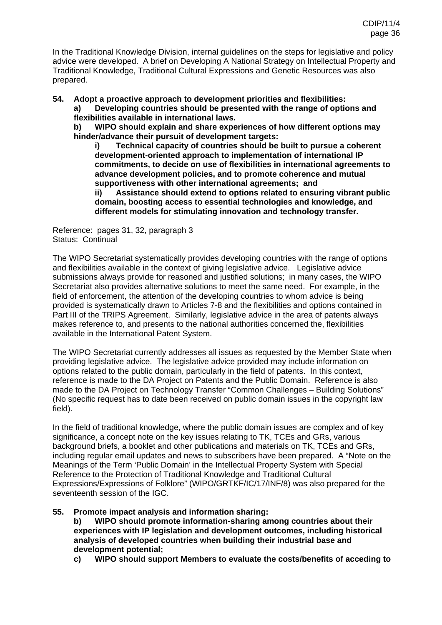In the Traditional Knowledge Division, internal guidelines on the steps for legislative and policy advice were developed. A brief on Developing A National Strategy on Intellectual Property and Traditional Knowledge, Traditional Cultural Expressions and Genetic Resources was also prepared.

**54. Adopt a proactive approach to development priorities and flexibilities:** 

**a) Developing countries should be presented with the range of options and flexibilities available in international laws.** 

**b) WIPO should explain and share experiences of how different options may hinder/advance their pursuit of development targets:** 

**i) Technical capacity of countries should be built to pursue a coherent development-oriented approach to implementation of international IP commitments, to decide on use of flexibilities in international agreements to advance development policies, and to promote coherence and mutual supportiveness with other international agreements; and** 

**ii) Assistance should extend to options related to ensuring vibrant public domain, boosting access to essential technologies and knowledge, and different models for stimulating innovation and technology transfer.** 

Reference: pages 31, 32, paragraph 3 Status: Continual

The WIPO Secretariat systematically provides developing countries with the range of options and flexibilities available in the context of giving legislative advice. Legislative advice submissions always provide for reasoned and justified solutions; in many cases, the WIPO Secretariat also provides alternative solutions to meet the same need. For example, in the field of enforcement, the attention of the developing countries to whom advice is being provided is systematically drawn to Articles 7-8 and the flexibilities and options contained in Part III of the TRIPS Agreement. Similarly, legislative advice in the area of patents always makes reference to, and presents to the national authorities concerned the, flexibilities available in the International Patent System.

The WIPO Secretariat currently addresses all issues as requested by the Member State when providing legislative advice. The legislative advice provided may include information on options related to the public domain, particularly in the field of patents. In this context, reference is made to the DA Project on Patents and the Public Domain. Reference is also made to the DA Project on Technology Transfer "Common Challenges – Building Solutions" (No specific request has to date been received on public domain issues in the copyright law field).

In the field of traditional knowledge, where the public domain issues are complex and of key significance, a concept note on the key issues relating to TK, TCEs and GRs, various background briefs, a booklet and other publications and materials on TK, TCEs and GRs, including regular email updates and news to subscribers have been prepared. A "Note on the Meanings of the Term 'Public Domain' in the Intellectual Property System with Special Reference to the Protection of Traditional Knowledge and Traditional Cultural Expressions/Expressions of Folklore" (WIPO/GRTKF/IC/17/INF/8) was also prepared for the seventeenth session of the IGC.

**55. Promote impact analysis and information sharing:** 

**b) WIPO should promote information-sharing among countries about their experiences with IP legislation and development outcomes, including historical analysis of developed countries when building their industrial base and development potential;** 

**c) WIPO should support Members to evaluate the costs/benefits of acceding to**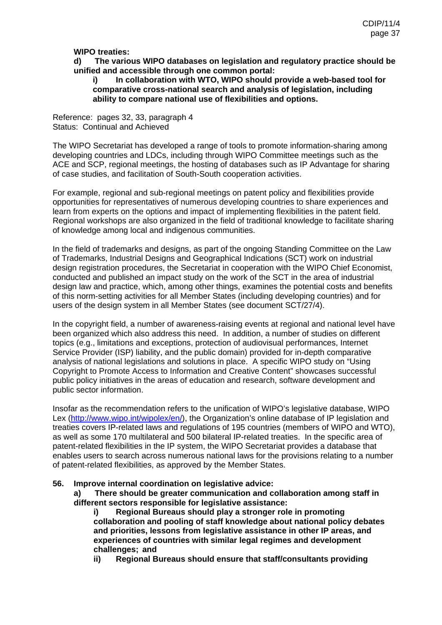### **WIPO treaties:**

#### **d) The various WIPO databases on legislation and regulatory practice should be unified and accessible through one common portal:**

#### **i) In collaboration with WTO, WIPO should provide a web-based tool for comparative cross-national search and analysis of legislation, including ability to compare national use of flexibilities and options.**

Reference: pages 32, 33, paragraph 4 Status: Continual and Achieved

The WIPO Secretariat has developed a range of tools to promote information-sharing among developing countries and LDCs, including through WIPO Committee meetings such as the ACE and SCP, regional meetings, the hosting of databases such as IP Advantage for sharing of case studies, and facilitation of South-South cooperation activities.

For example, regional and sub-regional meetings on patent policy and flexibilities provide opportunities for representatives of numerous developing countries to share experiences and learn from experts on the options and impact of implementing flexibilities in the patent field. Regional workshops are also organized in the field of traditional knowledge to facilitate sharing of knowledge among local and indigenous communities.

In the field of trademarks and designs, as part of the ongoing Standing Committee on the Law of Trademarks, Industrial Designs and Geographical Indications (SCT) work on industrial design registration procedures, the Secretariat in cooperation with the WIPO Chief Economist, conducted and published an impact study on the work of the SCT in the area of industrial design law and practice, which, among other things, examines the potential costs and benefits of this norm-setting activities for all Member States (including developing countries) and for users of the design system in all Member States (see document SCT/27/4).

In the copyright field, a number of awareness-raising events at regional and national level have been organized which also address this need. In addition, a number of studies on different topics (e.g., limitations and exceptions, protection of audiovisual performances, Internet Service Provider (ISP) liability, and the public domain) provided for in-depth comparative analysis of national legislations and solutions in place. A specific WIPO study on "Using Copyright to Promote Access to Information and Creative Content" showcases successful public policy initiatives in the areas of education and research, software development and public sector information.

Insofar as the recommendation refers to the unification of WIPO's legislative database, WIPO Lex [\(http://www.wipo.int/wipolex/en/](http://www.wipo.int/wipolex/en/)), the Organization's online database of IP legislation and treaties covers IP-related laws and regulations of 195 countries (members of WIPO and WTO), as well as some 170 multilateral and 500 bilateral IP-related treaties. In the specific area of patent-related flexibilities in the IP system, the WIPO Secretariat provides a database that enables users to search across numerous national laws for the provisions relating to a number of patent-related flexibilities, as approved by the Member States.

#### **56. Improve internal coordination on legislative advice:**

**a) There should be greater communication and collaboration among staff in different sectors responsible for legislative assistance:**

**i) Regional Bureaus should play a stronger role in promoting collaboration and pooling of staff knowledge about national policy debates and priorities, lessons from legislative assistance in other IP areas, and experiences of countries with similar legal regimes and development challenges; and** 

**ii) Regional Bureaus should ensure that staff/consultants providing**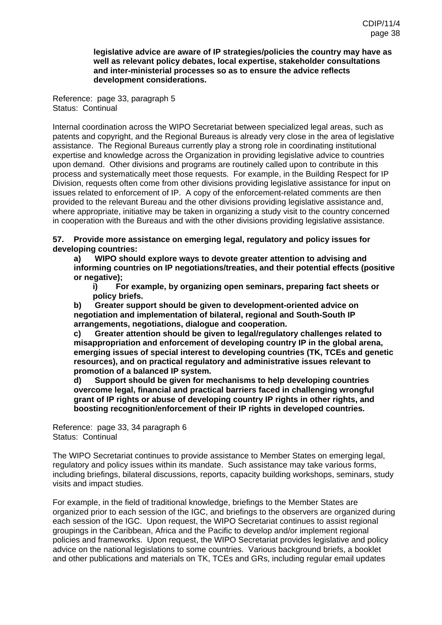**legislative advice are aware of IP strategies/policies the country may have as well as relevant policy debates, local expertise, stakeholder consultations and inter-ministerial processes so as to ensure the advice reflects development considerations.** 

Reference: page 33, paragraph 5 Status: Continual

Internal coordination across the WIPO Secretariat between specialized legal areas, such as patents and copyright, and the Regional Bureaus is already very close in the area of legislative assistance. The Regional Bureaus currently play a strong role in coordinating institutional expertise and knowledge across the Organization in providing legislative advice to countries upon demand. Other divisions and programs are routinely called upon to contribute in this process and systematically meet those requests. For example, in the Building Respect for IP Division, requests often come from other divisions providing legislative assistance for input on issues related to enforcement of IP. A copy of the enforcement-related comments are then provided to the relevant Bureau and the other divisions providing legislative assistance and, where appropriate, initiative may be taken in organizing a study visit to the country concerned in cooperation with the Bureaus and with the other divisions providing legislative assistance.

**57. Provide more assistance on emerging legal, regulatory and policy issues for developing countries:** 

**a) WIPO should explore ways to devote greater attention to advising and informing countries on IP negotiations/treaties, and their potential effects (positive or negative);** 

**i) For example, by organizing open seminars, preparing fact sheets or policy briefs.** 

**b) Greater support should be given to development-oriented advice on negotiation and implementation of bilateral, regional and South-South IP arrangements, negotiations, dialogue and cooperation.** 

**c) Greater attention should be given to legal/regulatory challenges related to misappropriation and enforcement of developing country IP in the global arena, emerging issues of special interest to developing countries (TK, TCEs and genetic resources), and on practical regulatory and administrative issues relevant to promotion of a balanced IP system.** 

**d) Support should be given for mechanisms to help developing countries overcome legal, financial and practical barriers faced in challenging wrongful grant of IP rights or abuse of developing country IP rights in other rights, and boosting recognition/enforcement of their IP rights in developed countries.** 

Reference: page 33, 34 paragraph 6 Status: Continual

The WIPO Secretariat continues to provide assistance to Member States on emerging legal, regulatory and policy issues within its mandate. Such assistance may take various forms, including briefings, bilateral discussions, reports, capacity building workshops, seminars, study visits and impact studies.

For example, in the field of traditional knowledge, briefings to the Member States are organized prior to each session of the IGC, and briefings to the observers are organized during each session of the IGC. Upon request, the WIPO Secretariat continues to assist regional groupings in the Caribbean, Africa and the Pacific to develop and/or implement regional policies and frameworks. Upon request, the WIPO Secretariat provides legislative and policy advice on the national legislations to some countries. Various background briefs, a booklet and other publications and materials on TK, TCEs and GRs, including regular email updates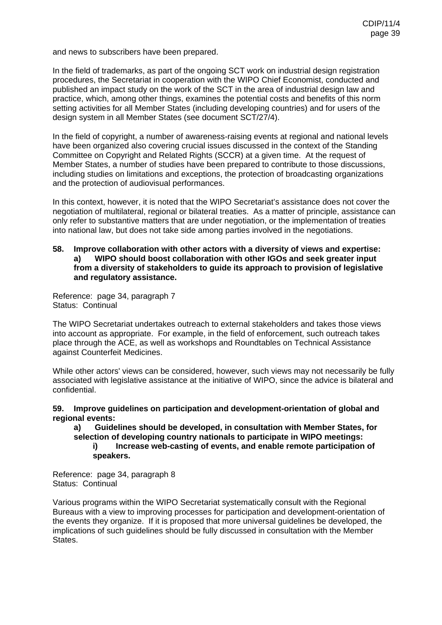and news to subscribers have been prepared.

In the field of trademarks, as part of the ongoing SCT work on industrial design registration procedures, the Secretariat in cooperation with the WIPO Chief Economist, conducted and published an impact study on the work of the SCT in the area of industrial design law and practice, which, among other things, examines the potential costs and benefits of this norm setting activities for all Member States (including developing countries) and for users of the design system in all Member States (see document SCT/27/4).

In the field of copyright, a number of awareness-raising events at regional and national levels have been organized also covering crucial issues discussed in the context of the Standing Committee on Copyright and Related Rights (SCCR) at a given time. At the request of Member States, a number of studies have been prepared to contribute to those discussions, including studies on limitations and exceptions, the protection of broadcasting organizations and the protection of audiovisual performances.

In this context, however, it is noted that the WIPO Secretariat's assistance does not cover the negotiation of multilateral, regional or bilateral treaties. As a matter of principle, assistance can only refer to substantive matters that are under negotiation, or the implementation of treaties into national law, but does not take side among parties involved in the negotiations.

#### **58. Improve collaboration with other actors with a diversity of views and expertise: a) WIPO should boost collaboration with other IGOs and seek greater input from a diversity of stakeholders to guide its approach to provision of legislative and regulatory assistance.**

Reference: page 34, paragraph 7 Status: Continual

The WIPO Secretariat undertakes outreach to external stakeholders and takes those views into account as appropriate. For example, in the field of enforcement, such outreach takes place through the ACE, as well as workshops and Roundtables on Technical Assistance against Counterfeit Medicines.

While other actors' views can be considered, however, such views may not necessarily be fully associated with legislative assistance at the initiative of WIPO, since the advice is bilateral and confidential.

**59. Improve guidelines on participation and development-orientation of global and regional events:** 

#### **a) Guidelines should be developed, in consultation with Member States, for selection of developing country nationals to participate in WIPO meetings: i) Increase web-casting of events, and enable remote participation of speakers.**

Reference: page 34, paragraph 8 Status: Continual

Various programs within the WIPO Secretariat systematically consult with the Regional Bureaus with a view to improving processes for participation and development-orientation of the events they organize. If it is proposed that more universal guidelines be developed, the implications of such guidelines should be fully discussed in consultation with the Member States.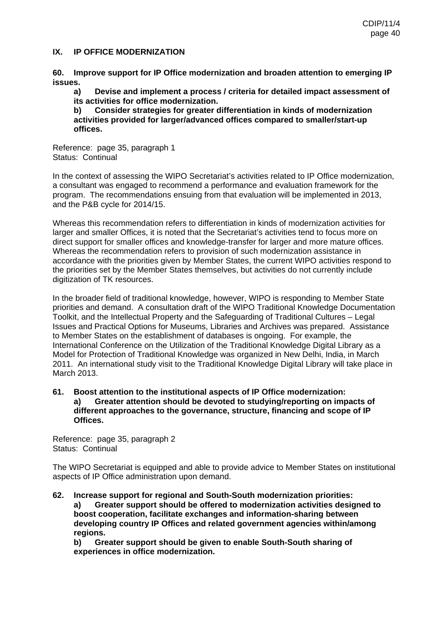#### **IX. IP OFFICE MODERNIZATION**

**60. Improve support for IP Office modernization and broaden attention to emerging IP issues.** 

**a) Devise and implement a process / criteria for detailed impact assessment of its activities for office modernization.** 

**b) Consider strategies for greater differentiation in kinds of modernization activities provided for larger/advanced offices compared to smaller/start-up offices.** 

Reference: page 35, paragraph 1 Status: Continual

In the context of assessing the WIPO Secretariat's activities related to IP Office modernization, a consultant was engaged to recommend a performance and evaluation framework for the program. The recommendations ensuing from that evaluation will be implemented in 2013, and the P&B cycle for 2014/15.

Whereas this recommendation refers to differentiation in kinds of modernization activities for larger and smaller Offices, it is noted that the Secretariat's activities tend to focus more on direct support for smaller offices and knowledge-transfer for larger and more mature offices. Whereas the recommendation refers to provision of such modernization assistance in accordance with the priorities given by Member States, the current WIPO activities respond to the priorities set by the Member States themselves, but activities do not currently include digitization of TK resources.

In the broader field of traditional knowledge, however, WIPO is responding to Member State priorities and demand. A consultation draft of the WIPO Traditional Knowledge Documentation Toolkit, and the Intellectual Property and the Safeguarding of Traditional Cultures – Legal Issues and Practical Options for Museums, Libraries and Archives was prepared. Assistance to Member States on the establishment of databases is ongoing. For example, the International Conference on the Utilization of the Traditional Knowledge Digital Library as a Model for Protection of Traditional Knowledge was organized in New Delhi, India, in March 2011. An international study visit to the Traditional Knowledge Digital Library will take place in March 2013.

**61. Boost attention to the institutional aspects of IP Office modernization: a) Greater attention should be devoted to studying/reporting on impacts of different approaches to the governance, structure, financing and scope of IP Offices.** 

Reference: page 35, paragraph 2 Status: Continual

The WIPO Secretariat is equipped and able to provide advice to Member States on institutional aspects of IP Office administration upon demand.

**62. Increase support for regional and South-South modernization priorities:** 

**a) Greater support should be offered to modernization activities designed to boost cooperation, facilitate exchanges and information-sharing between developing country IP Offices and related government agencies within/among regions.** 

**b) Greater support should be given to enable South-South sharing of experiences in office modernization.**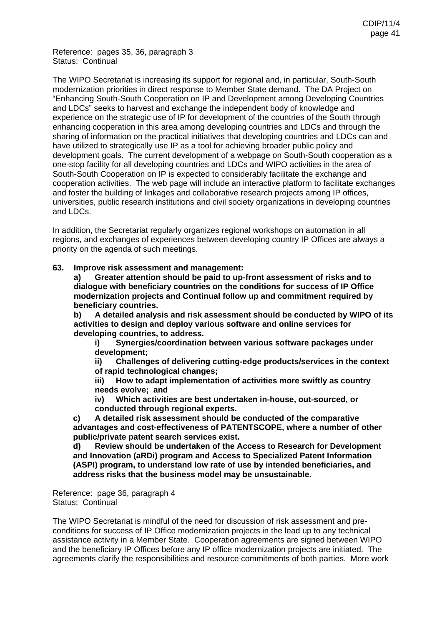Reference: pages 35, 36, paragraph 3 Status: Continual

The WIPO Secretariat is increasing its support for regional and, in particular, South-South modernization priorities in direct response to Member State demand. The DA Project on "Enhancing South-South Cooperation on IP and Development among Developing Countries and LDCs" seeks to harvest and exchange the independent body of knowledge and experience on the strategic use of IP for development of the countries of the South through enhancing cooperation in this area among developing countries and LDCs and through the sharing of information on the practical initiatives that developing countries and LDCs can and have utilized to strategically use IP as a tool for achieving broader public policy and development goals. The current development of a webpage on South-South cooperation as a one-stop facility for all developing countries and LDCs and WIPO activities in the area of South-South Cooperation on IP is expected to considerably facilitate the exchange and cooperation activities. The web page will include an interactive platform to facilitate exchanges and foster the building of linkages and collaborative research projects among IP offices, universities, public research institutions and civil society organizations in developing countries and LDCs.

In addition, the Secretariat regularly organizes regional workshops on automation in all regions, and exchanges of experiences between developing country IP Offices are always a priority on the agenda of such meetings.

#### **63. Improve risk assessment and management:**

**a) Greater attention should be paid to up-front assessment of risks and to dialogue with beneficiary countries on the conditions for success of IP Office modernization projects and Continual follow up and commitment required by beneficiary countries.** 

**b) A detailed analysis and risk assessment should be conducted by WIPO of its activities to design and deploy various software and online services for developing countries, to address.** 

**i) Synergies/coordination between various software packages under development;** 

**ii) Challenges of delivering cutting-edge products/services in the context of rapid technological changes;** 

**iii) How to adapt implementation of activities more swiftly as country needs evolve; and** 

**iv) Which activities are best undertaken in-house, out-sourced, or conducted through regional experts.** 

**c) A detailed risk assessment should be conducted of the comparative advantages and cost-effectiveness of PATENTSCOPE, where a number of other public/private patent search services exist.** 

**d) Review should be undertaken of the Access to Research for Development and Innovation (aRDi) program and Access to Specialized Patent Information (ASPI) program, to understand low rate of use by intended beneficiaries, and address risks that the business model may be unsustainable.** 

Reference: page 36, paragraph 4 Status: Continual

The WIPO Secretariat is mindful of the need for discussion of risk assessment and preconditions for success of IP Office modernization projects in the lead up to any technical assistance activity in a Member State. Cooperation agreements are signed between WIPO and the beneficiary IP Offices before any IP office modernization projects are initiated. The agreements clarify the responsibilities and resource commitments of both parties. More work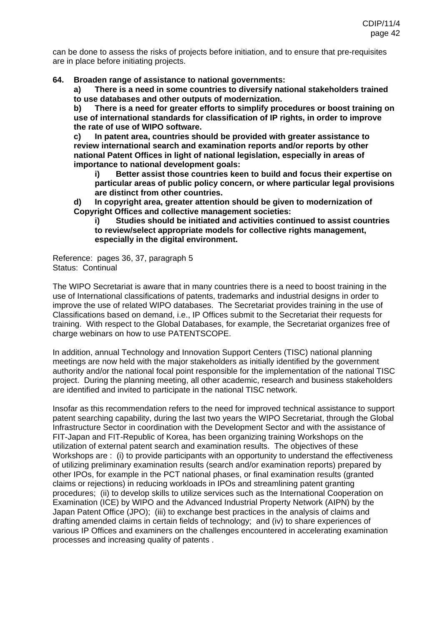can be done to assess the risks of projects before initiation, and to ensure that pre-requisites are in place before initiating projects.

**64. Broaden range of assistance to national governments:**

**a) There is a need in some countries to diversify national stakeholders trained to use databases and other outputs of modernization.** 

**b) There is a need for greater efforts to simplify procedures or boost training on use of international standards for classification of IP rights, in order to improve the rate of use of WIPO software.** 

**c) In patent area, countries should be provided with greater assistance to review international search and examination reports and/or reports by other national Patent Offices in light of national legislation, especially in areas of importance to national development goals:** 

**i) Better assist those countries keen to build and focus their expertise on particular areas of public policy concern, or where particular legal provisions are distinct from other countries.** 

**d) In copyright area, greater attention should be given to modernization of Copyright Offices and collective management societies:** 

**i) Studies should be initiated and activities continued to assist countries to review/select appropriate models for collective rights management, especially in the digital environment.** 

Reference: pages 36, 37, paragraph 5 Status: Continual

The WIPO Secretariat is aware that in many countries there is a need to boost training in the use of International classifications of patents, trademarks and industrial designs in order to improve the use of related WIPO databases. The Secretariat provides training in the use of Classifications based on demand, i.e., IP Offices submit to the Secretariat their requests for training. With respect to the Global Databases, for example, the Secretariat organizes free of charge webinars on how to use PATENTSCOPE.

In addition, annual Technology and Innovation Support Centers (TISC) national planning meetings are now held with the major stakeholders as initially identified by the government authority and/or the national focal point responsible for the implementation of the national TISC project. During the planning meeting, all other academic, research and business stakeholders are identified and invited to participate in the national TISC network.

Insofar as this recommendation refers to the need for improved technical assistance to support patent searching capability, during the last two years the WIPO Secretariat, through the Global Infrastructure Sector in coordination with the Development Sector and with the assistance of FIT-Japan and FIT-Republic of Korea, has been organizing training Workshops on the utilization of external patent search and examination results. The objectives of these Workshops are : (i) to provide participants with an opportunity to understand the effectiveness of utilizing preliminary examination results (search and/or examination reports) prepared by other IPOs, for example in the PCT national phases, or final examination results (granted claims or rejections) in reducing workloads in IPOs and streamlining patent granting procedures; (ii) to develop skills to utilize services such as the International Cooperation on Examination (ICE) by WIPO and the Advanced Industrial Property Network (AIPN) by the Japan Patent Office (JPO); (iii) to exchange best practices in the analysis of claims and drafting amended claims in certain fields of technology; and (iv) to share experiences of various IP Offices and examiners on the challenges encountered in accelerating examination processes and increasing quality of patents .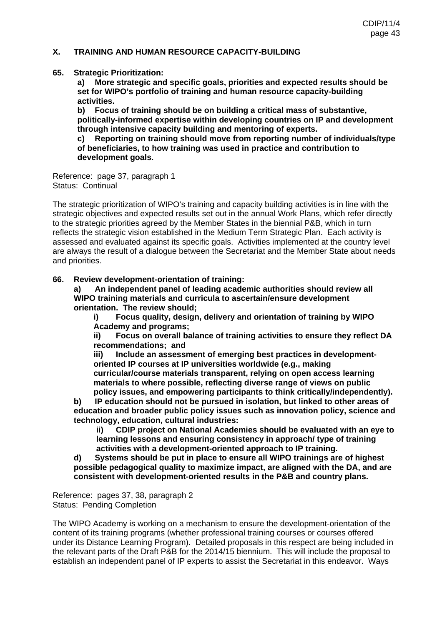### **X. TRAINING AND HUMAN RESOURCE CAPACITY-BUILDING**

#### **65. Strategic Prioritization:**

**a) More strategic and specific goals, priorities and expected results should be set for WIPO's portfolio of training and human resource capacity-building activities.** 

**b) Focus of training should be on building a critical mass of substantive, politically-informed expertise within developing countries on IP and development through intensive capacity building and mentoring of experts.** 

**c) Reporting on training should move from reporting number of individuals/type of beneficiaries, to how training was used in practice and contribution to development goals.** 

Reference: page 37, paragraph 1 Status: Continual

The strategic prioritization of WIPO's training and capacity building activities is in line with the strategic objectives and expected results set out in the annual Work Plans, which refer directly to the strategic priorities agreed by the Member States in the biennial P&B, which in turn reflects the strategic vision established in the Medium Term Strategic Plan. Each activity is assessed and evaluated against its specific goals. Activities implemented at the country level are always the result of a dialogue between the Secretariat and the Member State about needs and priorities.

#### **66. Review development-orientation of training:**

**a) An independent panel of leading academic authorities should review all WIPO training materials and curricula to ascertain/ensure development orientation. The review should;**

**i) Focus quality, design, delivery and orientation of training by WIPO Academy and programs;**

**ii) Focus on overall balance of training activities to ensure they reflect DA recommendations; and** 

**iii) Include an assessment of emerging best practices in developmentoriented IP courses at IP universities worldwide (e.g., making curricular/course materials transparent, relying on open access learning materials to where possible, reflecting diverse range of views on public** 

**policy issues, and empowering participants to think critically/independently). b) IP education should not be pursued in isolation, but linked to other areas of education and broader public policy issues such as innovation policy, science and technology, education, cultural industries:**

**ii) CDIP project on National Academies should be evaluated with an eye to learning lessons and ensuring consistency in approach/ type of training activities with a development-oriented approach to IP training.** 

**d) Systems should be put in place to ensure all WIPO trainings are of highest possible pedagogical quality to maximize impact, are aligned with the DA, and are consistent with development-oriented results in the P&B and country plans.** 

Reference: pages 37, 38, paragraph 2 Status: Pending Completion

The WIPO Academy is working on a mechanism to ensure the development-orientation of the content of its training programs (whether professional training courses or courses offered under its Distance Learning Program). Detailed proposals in this respect are being included in the relevant parts of the Draft P&B for the 2014/15 biennium. This will include the proposal to establish an independent panel of IP experts to assist the Secretariat in this endeavor. Ways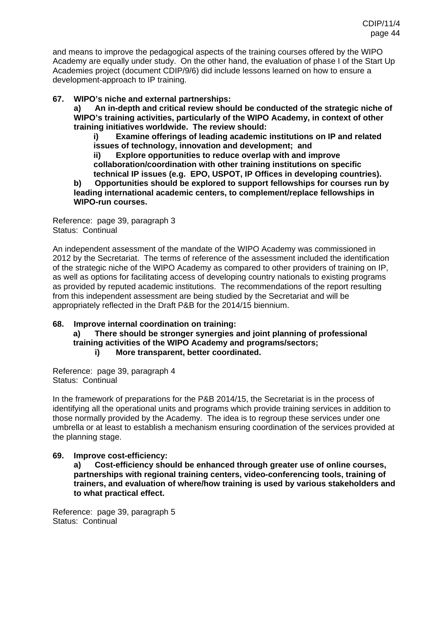and means to improve the pedagogical aspects of the training courses offered by the WIPO Academy are equally under study. On the other hand, the evaluation of phase I of the Start Up Academies project (document CDIP/9/6) did include lessons learned on how to ensure a development-approach to IP training.

### **67. WIPO's niche and external partnerships:**

**a) An in-depth and critical review should be conducted of the strategic niche of WIPO's training activities, particularly of the WIPO Academy, in context of other training initiatives worldwide. The review should:**

**i) Examine offerings of leading academic institutions on IP and related issues of technology, innovation and development; and** 

**ii) Explore opportunities to reduce overlap with and improve collaboration/coordination with other training institutions on specific technical IP issues (e.g. EPO, USPOT, IP Offices in developing countries).** 

**b) Opportunities should be explored to support fellowships for courses run by leading international academic centers, to complement/replace fellowships in WIPO-run courses.** 

Reference: page 39, paragraph 3 Status: Continual

An independent assessment of the mandate of the WIPO Academy was commissioned in 2012 by the Secretariat. The terms of reference of the assessment included the identification of the strategic niche of the WIPO Academy as compared to other providers of training on IP, as well as options for facilitating access of developing country nationals to existing programs as provided by reputed academic institutions. The recommendations of the report resulting from this independent assessment are being studied by the Secretariat and will be appropriately reflected in the Draft P&B for the 2014/15 biennium.

### **68. Improve internal coordination on training:**

**a) There should be stronger synergies and joint planning of professional training activities of the WIPO Academy and programs/sectors; i) More transparent, better coordinated.** 

Reference: page 39, paragraph 4 Status: Continual

In the framework of preparations for the P&B 2014/15, the Secretariat is in the process of identifying all the operational units and programs which provide training services in addition to those normally provided by the Academy. The idea is to regroup these services under one umbrella or at least to establish a mechanism ensuring coordination of the services provided at the planning stage.

### **69. Improve cost-efficiency:**

**a) Cost-efficiency should be enhanced through greater use of online courses, partnerships with regional training centers, video-conferencing tools, training of trainers, and evaluation of where/how training is used by various stakeholders and to what practical effect.** 

Reference: page 39, paragraph 5 Status: Continual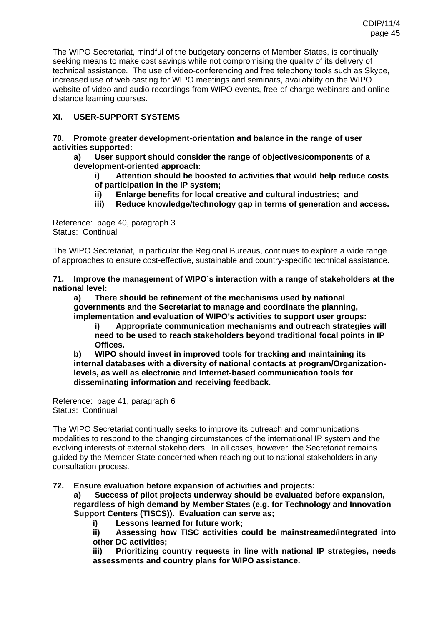The WIPO Secretariat, mindful of the budgetary concerns of Member States, is continually seeking means to make cost savings while not compromising the quality of its delivery of technical assistance. The use of video-conferencing and free telephony tools such as Skype, increased use of web casting for WIPO meetings and seminars, availability on the WIPO website of video and audio recordings from WIPO events, free-of-charge webinars and online distance learning courses.

# **XI. USER-SUPPORT SYSTEMS**

**70. Promote greater development-orientation and balance in the range of user activities supported:**

- **a) User support should consider the range of objectives/components of a development-oriented approach:**
	- **i) Attention should be boosted to activities that would help reduce costs of participation in the IP system;**
	- **ii) Enlarge benefits for local creative and cultural industries; and**
	- **iii) Reduce knowledge/technology gap in terms of generation and access.**

Reference: page 40, paragraph 3 Status: Continual

The WIPO Secretariat, in particular the Regional Bureaus, continues to explore a wide range of approaches to ensure cost-effective, sustainable and country-specific technical assistance.

**71. Improve the management of WIPO's interaction with a range of stakeholders at the national level:** 

**a) There should be refinement of the mechanisms used by national governments and the Secretariat to manage and coordinate the planning, implementation and evaluation of WIPO's activities to support user groups:**

**i) Appropriate communication mechanisms and outreach strategies will need to be used to reach stakeholders beyond traditional focal points in IP Offices.** 

**b) WIPO should invest in improved tools for tracking and maintaining its internal databases with a diversity of national contacts at program/Organizationlevels, as well as electronic and Internet-based communication tools for disseminating information and receiving feedback.** 

Reference: page 41, paragraph 6 Status: Continual

The WIPO Secretariat continually seeks to improve its outreach and communications modalities to respond to the changing circumstances of the international IP system and the evolving interests of external stakeholders. In all cases, however, the Secretariat remains guided by the Member State concerned when reaching out to national stakeholders in any consultation process.

### **72. Ensure evaluation before expansion of activities and projects:**

**a) Success of pilot projects underway should be evaluated before expansion, regardless of high demand by Member States (e.g. for Technology and Innovation Support Centers (TISCS)). Evaluation can serve as;**

**i) Lessons learned for future work;** 

**ii) Assessing how TISC activities could be mainstreamed/integrated into other DC activities;** 

**iii) Prioritizing country requests in line with national IP strategies, needs assessments and country plans for WIPO assistance.**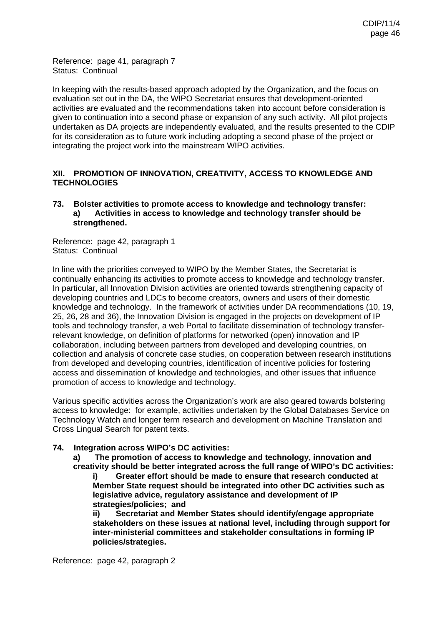Reference: page 41, paragraph 7 Status: Continual

In keeping with the results-based approach adopted by the Organization, and the focus on evaluation set out in the DA, the WIPO Secretariat ensures that development-oriented activities are evaluated and the recommendations taken into account before consideration is given to continuation into a second phase or expansion of any such activity. All pilot projects undertaken as DA projects are independently evaluated, and the results presented to the CDIP for its consideration as to future work including adopting a second phase of the project or integrating the project work into the mainstream WIPO activities.

### **XII. PROMOTION OF INNOVATION, CREATIVITY, ACCESS TO KNOWLEDGE AND TECHNOLOGIES**

#### **73. Bolster activities to promote access to knowledge and technology transfer: a) Activities in access to knowledge and technology transfer should be strengthened.**

Reference: page 42, paragraph 1 Status: Continual

In line with the priorities conveyed to WIPO by the Member States, the Secretariat is continually enhancing its activities to promote access to knowledge and technology transfer. In particular, all Innovation Division activities are oriented towards strengthening capacity of developing countries and LDCs to become creators, owners and users of their domestic knowledge and technology. In the framework of activities under DA recommendations (10, 19, 25, 26, 28 and 36), the Innovation Division is engaged in the projects on development of IP tools and technology transfer, a web Portal to facilitate dissemination of technology transferrelevant knowledge, on definition of platforms for networked (open) innovation and IP collaboration, including between partners from developed and developing countries, on collection and analysis of concrete case studies, on cooperation between research institutions from developed and developing countries, identification of incentive policies for fostering access and dissemination of knowledge and technologies, and other issues that influence promotion of access to knowledge and technology.

Various specific activities across the Organization's work are also geared towards bolstering access to knowledge: for example, activities undertaken by the Global Databases Service on Technology Watch and longer term research and development on Machine Translation and Cross Lingual Search for patent texts.

### **74. Integration across WIPO's DC activities:**

**a) The promotion of access to knowledge and technology, innovation and creativity should be better integrated across the full range of WIPO's DC activities:** 

**i) Greater effort should be made to ensure that research conducted at Member State request should be integrated into other DC activities such as legislative advice, regulatory assistance and development of IP strategies/policies; and** 

**ii) Secretariat and Member States should identify/engage appropriate stakeholders on these issues at national level, including through support for inter-ministerial committees and stakeholder consultations in forming IP policies/strategies.** 

Reference: page 42, paragraph 2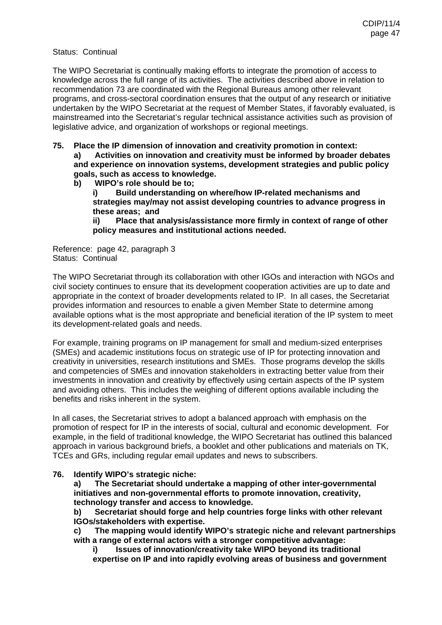#### Status: Continual

The WIPO Secretariat is continually making efforts to integrate the promotion of access to knowledge across the full range of its activities. The activities described above in relation to recommendation 73 are coordinated with the Regional Bureaus among other relevant programs, and cross-sectoral coordination ensures that the output of any research or initiative undertaken by the WIPO Secretariat at the request of Member States, if favorably evaluated, is mainstreamed into the Secretariat's regular technical assistance activities such as provision of legislative advice, and organization of workshops or regional meetings.

- **75. Place the IP dimension of innovation and creativity promotion in context: a) Activities on innovation and creativity must be informed by broader debates and experience on innovation systems, development strategies and public policy goals, such as access to knowledge.** 
	- **b) WIPO's role should be to; i) Build understanding on where/how IP-related mechanisms and**

**strategies may/may not assist developing countries to advance progress in these areas; and** 

**ii) Place that analysis/assistance more firmly in context of range of other policy measures and institutional actions needed.** 

Reference: page 42, paragraph 3 Status: Continual

The WIPO Secretariat through its collaboration with other IGOs and interaction with NGOs and civil society continues to ensure that its development cooperation activities are up to date and appropriate in the context of broader developments related to IP. In all cases, the Secretariat provides information and resources to enable a given Member State to determine among available options what is the most appropriate and beneficial iteration of the IP system to meet its development-related goals and needs.

For example, training programs on IP management for small and medium-sized enterprises (SMEs) and academic institutions focus on strategic use of IP for protecting innovation and creativity in universities, research institutions and SMEs. Those programs develop the skills and competencies of SMEs and innovation stakeholders in extracting better value from their investments in innovation and creativity by effectively using certain aspects of the IP system and avoiding others. This includes the weighing of different options available including the benefits and risks inherent in the system.

In all cases, the Secretariat strives to adopt a balanced approach with emphasis on the promotion of respect for IP in the interests of social, cultural and economic development. For example, in the field of traditional knowledge, the WIPO Secretariat has outlined this balanced approach in various background briefs, a booklet and other publications and materials on TK, TCEs and GRs, including regular email updates and news to subscribers.

### **76. Identify WIPO's strategic niche:**

**a) The Secretariat should undertake a mapping of other inter-governmental initiatives and non-governmental efforts to promote innovation, creativity, technology transfer and access to knowledge.** 

**b) Secretariat should forge and help countries forge links with other relevant IGOs/stakeholders with expertise.** 

**c) The mapping would identify WIPO's strategic niche and relevant partnerships with a range of external actors with a stronger competitive advantage:** 

**i) Issues of innovation/creativity take WIPO beyond its traditional expertise on IP and into rapidly evolving areas of business and government**